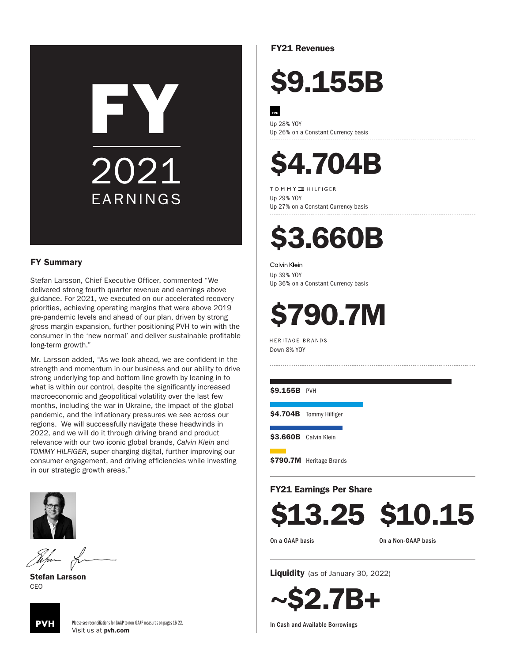# FY EARNINGS 2021

#### FY Summary

Stefan Larsson, Chief Executive Officer, commented "We delivered strong fourth quarter revenue and earnings above guidance. For 2021, we executed on our accelerated recovery priorities, achieving operating margins that were above 2019 pre-pandemic levels and ahead of our plan, driven by strong gross margin expansion, further positioning PVH to win with the consumer in the 'new normal' and deliver sustainable profitable long-term growth."

Mr. Larsson added, "As we look ahead, we are confident in the strength and momentum in our business and our ability to drive strong underlying top and bottom line growth by leaning in to what is within our control, despite the significantly increased macroeconomic and geopolitical volatility over the last few months, including the war in Ukraine, the impact of the global pandemic, and the inflationary pressures we see across our regions. We will successfully navigate these headwinds in 2022, and we will do it through driving brand and product relevance with our two iconic global brands, *Calvin Klein* and *TOMMY HILFIGER*, super-charging digital, further improving our consumer engagement, and driving efficiencies while investing in our strategic growth areas."



Stefan Larsson CEO



Please see reconciliations for GAAP to non-GAAP measures on pages 16-22. Visit us at pvh.com

FY21 Revenues

## \$9.155B

Up 28% YOY Up 26% on a Constant Currency basis

### \$4.704B

TOMMY INILFIGER

Up 29% YOY Up 27% on a Constant Currency basis

### \$3.660B

Calvin Klein

Up 39% YOY Up 36% on a Constant Currency basis

## \$790.7M

HERITAGE BRANDS Down 8% YOY

\$9.155B PVH

\$4.704B Tommy Hilfiger

\$3.660B Calvin Klein

\$790.7M Heritage Brands

#### FY21 Earnings Per Share

\$13.25 \$10.15

On a GAAP basis

On a Non-GAAP basis

Liquidity (as of January 30, 2022)

~\$2.7B+

In Cash and Available Borrowings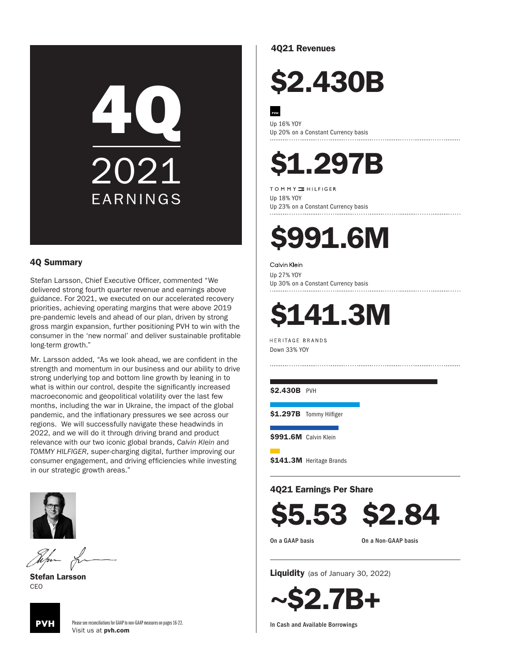# 4Q EARNINGS 2021

#### 4Q Summary

Stefan Larsson, Chief Executive Officer, commented "We delivered strong fourth quarter revenue and earnings above guidance. For 2021, we executed on our accelerated recovery priorities, achieving operating margins that were above 2019 pre-pandemic levels and ahead of our plan, driven by strong gross margin expansion, further positioning PVH to win with the consumer in the 'new normal' and deliver sustainable profitable long-term growth."

Mr. Larsson added, "As we look ahead, we are confident in the strength and momentum in our business and our ability to drive strong underlying top and bottom line growth by leaning in to what is within our control, despite the significantly increased macroeconomic and geopolitical volatility over the last few months, including the war in Ukraine, the impact of the global pandemic, and the inflationary pressures we see across our regions. We will successfully navigate these headwinds in 2022, and we will do it through driving brand and product relevance with our two iconic global brands, *Calvin Klein* and *TOMMY HILFIGER*, super-charging digital, further improving our consumer engagement, and driving efficiencies while investing in our strategic growth areas."



Stefan Larsson CEO



Please see reconciliations for GAAP to non-GAAP measures on pages 16-22. Visit us at pvh.com

#### 4Q21 Revenues

### \$2.430B

Up 16% YOY Up 20% on a Constant Currency basis

### \$1.297B

TOMMY INILFIGER

Up 18% YOY Up 23% on a Constant Currency basis

### \$991.6M

#### Calvin Klein

Up 27% YOY Up 30% on a Constant Currency basis

### **141.3M**

HERITAGE BRANDS Down 33% YOY

\$2.430B PVH

\$1.297B Tommy Hilfiger

\$991.6M Calvin Klein

\$141.3M Heritage Brands

4Q21 Earnings Per Share

\$5.53 \$2.84

On a GAAP basis

On a Non-GAAP basis

Liquidity (as of January 30, 2022)

~\$2.7B+

In Cash and Available Borrowings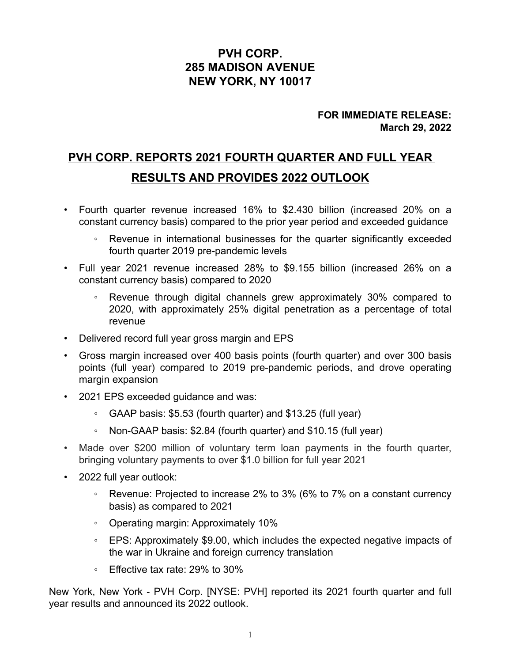#### **PVH CORP. 285 MADISON AVENUE NEW YORK, NY 10017**

#### **FOR IMMEDIATE RELEASE: March 29, 2022**

### **PVH CORP. REPORTS 2021 FOURTH QUARTER AND FULL YEAR RESULTS AND PROVIDES 2022 OUTLOOK**

- Fourth quarter revenue increased 16% to \$2.430 billion (increased 20% on a constant currency basis) compared to the prior year period and exceeded guidance
	- Revenue in international businesses for the quarter significantly exceeded fourth quarter 2019 pre-pandemic levels
- Full year 2021 revenue increased 28% to \$9.155 billion (increased 26% on a constant currency basis) compared to 2020
	- Revenue through digital channels grew approximately 30% compared to 2020, with approximately 25% digital penetration as a percentage of total revenue
- Delivered record full year gross margin and EPS
- Gross margin increased over 400 basis points (fourth quarter) and over 300 basis points (full year) compared to 2019 pre-pandemic periods, and drove operating margin expansion
- 2021 EPS exceeded guidance and was:
	- GAAP basis: \$5.53 (fourth quarter) and \$13.25 (full year)
	- Non-GAAP basis: \$2.84 (fourth quarter) and \$10.15 (full year)
- Made over \$200 million of voluntary term loan payments in the fourth quarter, bringing voluntary payments to over \$1.0 billion for full year 2021
- 2022 full year outlook:
	- Revenue: Projected to increase 2% to 3% (6% to 7% on a constant currency basis) as compared to 2021
	- Operating margin: Approximately 10%
	- EPS: Approximately \$9.00, which includes the expected negative impacts of the war in Ukraine and foreign currency translation
	- Effective tax rate: 29% to 30%

New York, New York - PVH Corp. [NYSE: PVH] reported its 2021 fourth quarter and full year results and announced its 2022 outlook.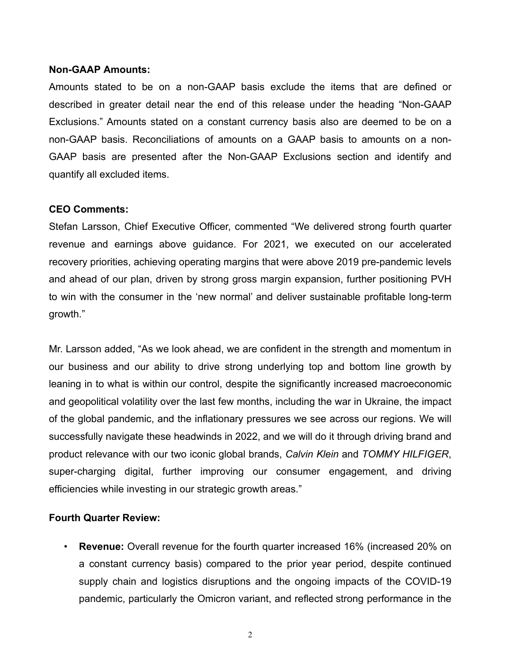#### **Non-GAAP Amounts:**

Amounts stated to be on a non-GAAP basis exclude the items that are defined or described in greater detail near the end of this release under the heading "Non-GAAP Exclusions." Amounts stated on a constant currency basis also are deemed to be on a non-GAAP basis. Reconciliations of amounts on a GAAP basis to amounts on a non-GAAP basis are presented after the Non-GAAP Exclusions section and identify and quantify all excluded items.

#### **CEO Comments:**

Stefan Larsson, Chief Executive Officer, commented "We delivered strong fourth quarter revenue and earnings above guidance. For 2021, we executed on our accelerated recovery priorities, achieving operating margins that were above 2019 pre-pandemic levels and ahead of our plan, driven by strong gross margin expansion, further positioning PVH to win with the consumer in the 'new normal' and deliver sustainable profitable long-term growth."

Mr. Larsson added, "As we look ahead, we are confident in the strength and momentum in our business and our ability to drive strong underlying top and bottom line growth by leaning in to what is within our control, despite the significantly increased macroeconomic and geopolitical volatility over the last few months, including the war in Ukraine, the impact of the global pandemic, and the inflationary pressures we see across our regions. We will successfully navigate these headwinds in 2022, and we will do it through driving brand and product relevance with our two iconic global brands, *Calvin Klein* and *TOMMY HILFIGER*, super-charging digital, further improving our consumer engagement, and driving efficiencies while investing in our strategic growth areas."

#### **Fourth Quarter Review:**

• **Revenue:** Overall revenue for the fourth quarter increased 16% (increased 20% on a constant currency basis) compared to the prior year period, despite continued supply chain and logistics disruptions and the ongoing impacts of the COVID-19 pandemic, particularly the Omicron variant, and reflected strong performance in the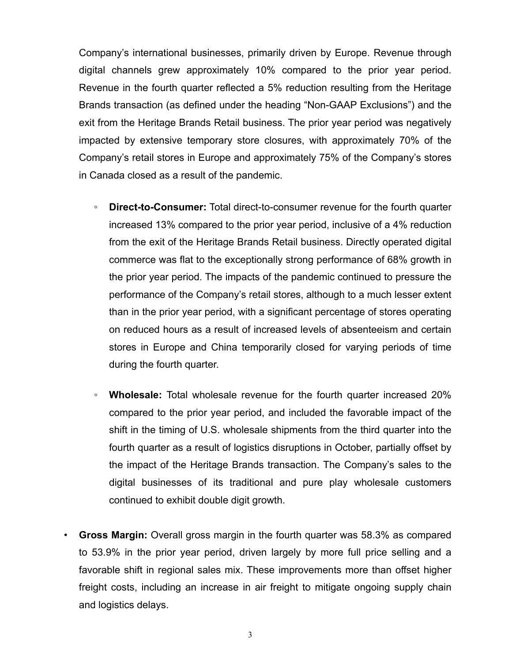Company's international businesses, primarily driven by Europe. Revenue through digital channels grew approximately 10% compared to the prior year period. Revenue in the fourth quarter reflected a 5% reduction resulting from the Heritage Brands transaction (as defined under the heading "Non-GAAP Exclusions") and the exit from the Heritage Brands Retail business. The prior year period was negatively impacted by extensive temporary store closures, with approximately 70% of the Company's retail stores in Europe and approximately 75% of the Company's stores in Canada closed as a result of the pandemic.

- *◦* **Direct-to-Consumer:** Total direct-to-consumer revenue for the fourth quarter increased 13% compared to the prior year period, inclusive of a 4% reduction from the exit of the Heritage Brands Retail business. Directly operated digital commerce was flat to the exceptionally strong performance of 68% growth in the prior year period. The impacts of the pandemic continued to pressure the performance of the Company's retail stores, although to a much lesser extent than in the prior year period, with a significant percentage of stores operating on reduced hours as a result of increased levels of absenteeism and certain stores in Europe and China temporarily closed for varying periods of time during the fourth quarter.
- *◦* **Wholesale:** Total wholesale revenue for the fourth quarter increased 20% compared to the prior year period, and included the favorable impact of the shift in the timing of U.S. wholesale shipments from the third quarter into the fourth quarter as a result of logistics disruptions in October, partially offset by the impact of the Heritage Brands transaction. The Company's sales to the digital businesses of its traditional and pure play wholesale customers continued to exhibit double digit growth.
- **Gross Margin:** Overall gross margin in the fourth quarter was 58.3% as compared to 53.9% in the prior year period, driven largely by more full price selling and a favorable shift in regional sales mix. These improvements more than offset higher freight costs, including an increase in air freight to mitigate ongoing supply chain and logistics delays.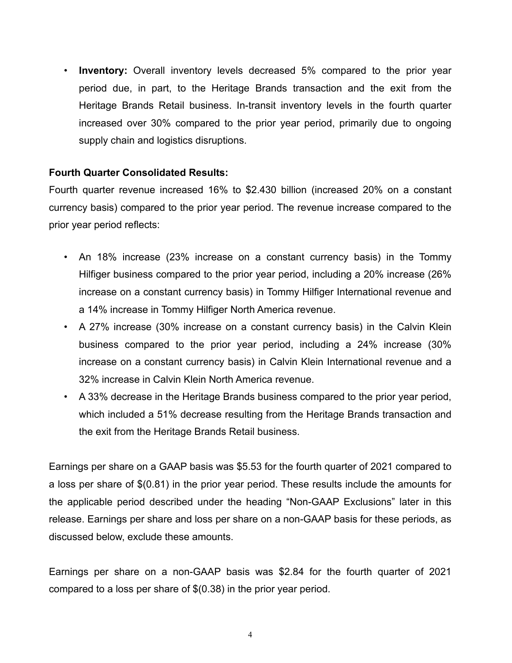• **Inventory:** Overall inventory levels decreased 5% compared to the prior year period due, in part, to the Heritage Brands transaction and the exit from the Heritage Brands Retail business. In-transit inventory levels in the fourth quarter increased over 30% compared to the prior year period, primarily due to ongoing supply chain and logistics disruptions.

#### **Fourth Quarter Consolidated Results:**

Fourth quarter revenue increased 16% to \$2.430 billion (increased 20% on a constant currency basis) compared to the prior year period. The revenue increase compared to the prior year period reflects:

- An 18% increase (23% increase on a constant currency basis) in the Tommy Hilfiger business compared to the prior year period, including a 20% increase (26% increase on a constant currency basis) in Tommy Hilfiger International revenue and a 14% increase in Tommy Hilfiger North America revenue.
- A 27% increase (30% increase on a constant currency basis) in the Calvin Klein business compared to the prior year period, including a 24% increase (30% increase on a constant currency basis) in Calvin Klein International revenue and a 32% increase in Calvin Klein North America revenue.
- A 33% decrease in the Heritage Brands business compared to the prior year period, which included a 51% decrease resulting from the Heritage Brands transaction and the exit from the Heritage Brands Retail business.

Earnings per share on a GAAP basis was \$5.53 for the fourth quarter of 2021 compared to a loss per share of \$(0.81) in the prior year period. These results include the amounts for the applicable period described under the heading "Non-GAAP Exclusions" later in this release. Earnings per share and loss per share on a non-GAAP basis for these periods, as discussed below, exclude these amounts.

Earnings per share on a non-GAAP basis was \$2.84 for the fourth quarter of 2021 compared to a loss per share of \$(0.38) in the prior year period.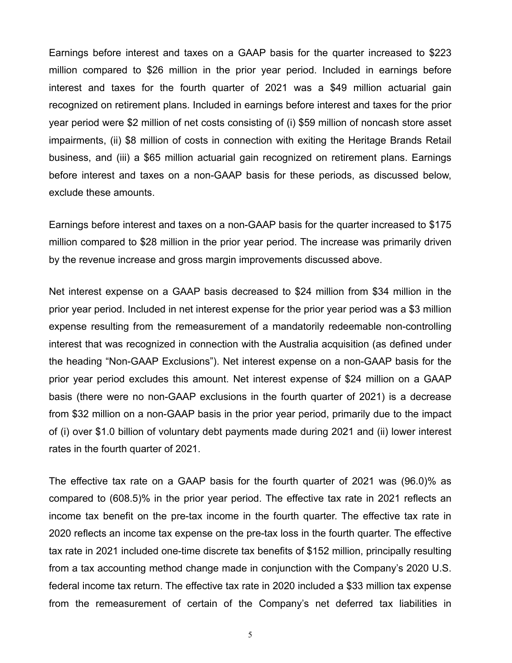Earnings before interest and taxes on a GAAP basis for the quarter increased to \$223 million compared to \$26 million in the prior year period. Included in earnings before interest and taxes for the fourth quarter of 2021 was a \$49 million actuarial gain recognized on retirement plans. Included in earnings before interest and taxes for the prior year period were \$2 million of net costs consisting of (i) \$59 million of noncash store asset impairments, (ii) \$8 million of costs in connection with exiting the Heritage Brands Retail business, and (iii) a \$65 million actuarial gain recognized on retirement plans. Earnings before interest and taxes on a non-GAAP basis for these periods, as discussed below, exclude these amounts.

Earnings before interest and taxes on a non-GAAP basis for the quarter increased to \$175 million compared to \$28 million in the prior year period. The increase was primarily driven by the revenue increase and gross margin improvements discussed above.

Net interest expense on a GAAP basis decreased to \$24 million from \$34 million in the prior year period. Included in net interest expense for the prior year period was a \$3 million expense resulting from the remeasurement of a mandatorily redeemable non-controlling interest that was recognized in connection with the Australia acquisition (as defined under the heading "Non-GAAP Exclusions"). Net interest expense on a non-GAAP basis for the prior year period excludes this amount. Net interest expense of \$24 million on a GAAP basis (there were no non-GAAP exclusions in the fourth quarter of 2021) is a decrease from \$32 million on a non-GAAP basis in the prior year period, primarily due to the impact of (i) over \$1.0 billion of voluntary debt payments made during 2021 and (ii) lower interest rates in the fourth quarter of 2021.

The effective tax rate on a GAAP basis for the fourth quarter of 2021 was (96.0)% as compared to (608.5)% in the prior year period. The effective tax rate in 2021 reflects an income tax benefit on the pre-tax income in the fourth quarter. The effective tax rate in 2020 reflects an income tax expense on the pre-tax loss in the fourth quarter. The effective tax rate in 2021 included one-time discrete tax benefits of \$152 million, principally resulting from a tax accounting method change made in conjunction with the Company's 2020 U.S. federal income tax return. The effective tax rate in 2020 included a \$33 million tax expense from the remeasurement of certain of the Company's net deferred tax liabilities in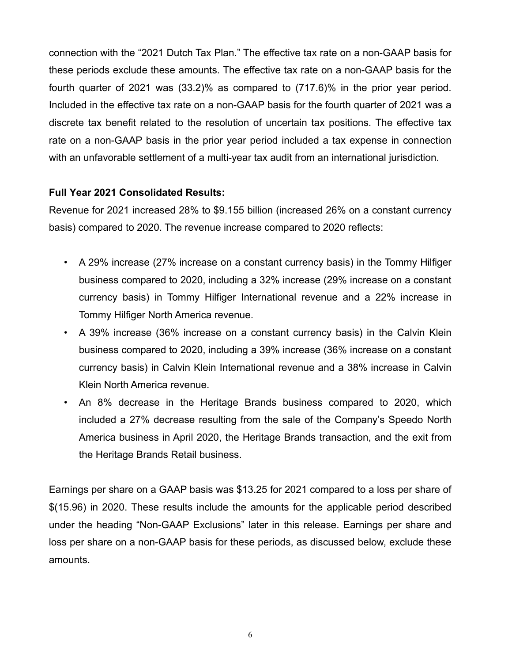connection with the "2021 Dutch Tax Plan." The effective tax rate on a non-GAAP basis for these periods exclude these amounts. The effective tax rate on a non-GAAP basis for the fourth quarter of 2021 was (33.2)% as compared to (717.6)% in the prior year period. Included in the effective tax rate on a non-GAAP basis for the fourth quarter of 2021 was a discrete tax benefit related to the resolution of uncertain tax positions. The effective tax rate on a non-GAAP basis in the prior year period included a tax expense in connection with an unfavorable settlement of a multi-year tax audit from an international jurisdiction.

#### **Full Year 2021 Consolidated Results:**

Revenue for 2021 increased 28% to \$9.155 billion (increased 26% on a constant currency basis) compared to 2020. The revenue increase compared to 2020 reflects:

- A 29% increase (27% increase on a constant currency basis) in the Tommy Hilfiger business compared to 2020, including a 32% increase (29% increase on a constant currency basis) in Tommy Hilfiger International revenue and a 22% increase in Tommy Hilfiger North America revenue.
- A 39% increase (36% increase on a constant currency basis) in the Calvin Klein business compared to 2020, including a 39% increase (36% increase on a constant currency basis) in Calvin Klein International revenue and a 38% increase in Calvin Klein North America revenue.
- An 8% decrease in the Heritage Brands business compared to 2020, which included a 27% decrease resulting from the sale of the Company's Speedo North America business in April 2020, the Heritage Brands transaction, and the exit from the Heritage Brands Retail business.

Earnings per share on a GAAP basis was \$13.25 for 2021 compared to a loss per share of \$(15.96) in 2020. These results include the amounts for the applicable period described under the heading "Non-GAAP Exclusions" later in this release. Earnings per share and loss per share on a non-GAAP basis for these periods, as discussed below, exclude these amounts.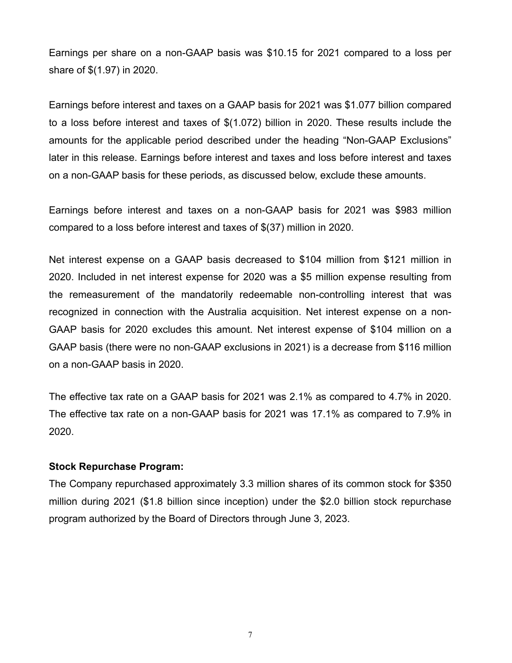Earnings per share on a non-GAAP basis was \$10.15 for 2021 compared to a loss per share of \$(1.97) in 2020.

Earnings before interest and taxes on a GAAP basis for 2021 was \$1.077 billion compared to a loss before interest and taxes of \$(1.072) billion in 2020. These results include the amounts for the applicable period described under the heading "Non-GAAP Exclusions" later in this release. Earnings before interest and taxes and loss before interest and taxes on a non-GAAP basis for these periods, as discussed below, exclude these amounts.

Earnings before interest and taxes on a non-GAAP basis for 2021 was \$983 million compared to a loss before interest and taxes of \$(37) million in 2020.

Net interest expense on a GAAP basis decreased to \$104 million from \$121 million in 2020. Included in net interest expense for 2020 was a \$5 million expense resulting from the remeasurement of the mandatorily redeemable non-controlling interest that was recognized in connection with the Australia acquisition. Net interest expense on a non-GAAP basis for 2020 excludes this amount. Net interest expense of \$104 million on a GAAP basis (there were no non-GAAP exclusions in 2021) is a decrease from \$116 million on a non-GAAP basis in 2020.

The effective tax rate on a GAAP basis for 2021 was 2.1% as compared to 4.7% in 2020. The effective tax rate on a non-GAAP basis for 2021 was 17.1% as compared to 7.9% in 2020.

#### **Stock Repurchase Program:**

The Company repurchased approximately 3.3 million shares of its common stock for \$350 million during 2021 (\$1.8 billion since inception) under the \$2.0 billion stock repurchase program authorized by the Board of Directors through June 3, 2023.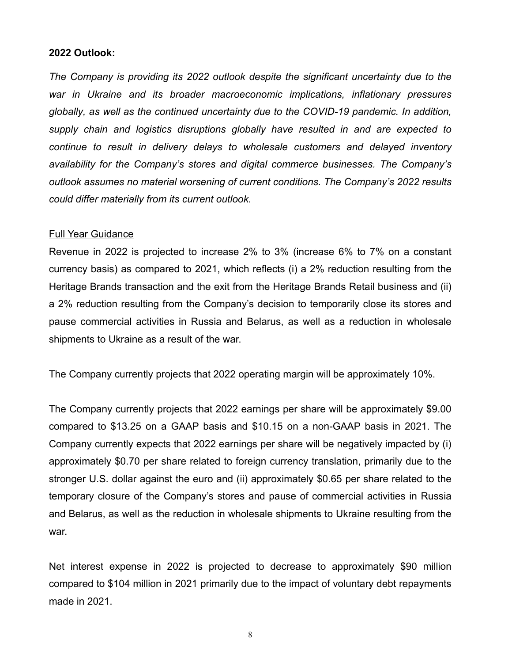#### **2022 Outlook:**

*The Company is providing its 2022 outlook despite the significant uncertainty due to the war in Ukraine and its broader macroeconomic implications, inflationary pressures globally, as well as the continued uncertainty due to the COVID-19 pandemic. In addition, supply chain and logistics disruptions globally have resulted in and are expected to continue to result in delivery delays to wholesale customers and delayed inventory availability for the Company's stores and digital commerce businesses. The Company's outlook assumes no material worsening of current conditions. The Company's 2022 results could differ materially from its current outlook.* 

#### Full Year Guidance

Revenue in 2022 is projected to increase 2% to 3% (increase 6% to 7% on a constant currency basis) as compared to 2021, which reflects (i) a 2% reduction resulting from the Heritage Brands transaction and the exit from the Heritage Brands Retail business and (ii) a 2% reduction resulting from the Company's decision to temporarily close its stores and pause commercial activities in Russia and Belarus, as well as a reduction in wholesale shipments to Ukraine as a result of the war.

The Company currently projects that 2022 operating margin will be approximately 10%.

The Company currently projects that 2022 earnings per share will be approximately \$9.00 compared to \$13.25 on a GAAP basis and \$10.15 on a non-GAAP basis in 2021. The Company currently expects that 2022 earnings per share will be negatively impacted by (i) approximately \$0.70 per share related to foreign currency translation, primarily due to the stronger U.S. dollar against the euro and (ii) approximately \$0.65 per share related to the temporary closure of the Company's stores and pause of commercial activities in Russia and Belarus, as well as the reduction in wholesale shipments to Ukraine resulting from the war.

Net interest expense in 2022 is projected to decrease to approximately \$90 million compared to \$104 million in 2021 primarily due to the impact of voluntary debt repayments made in 2021.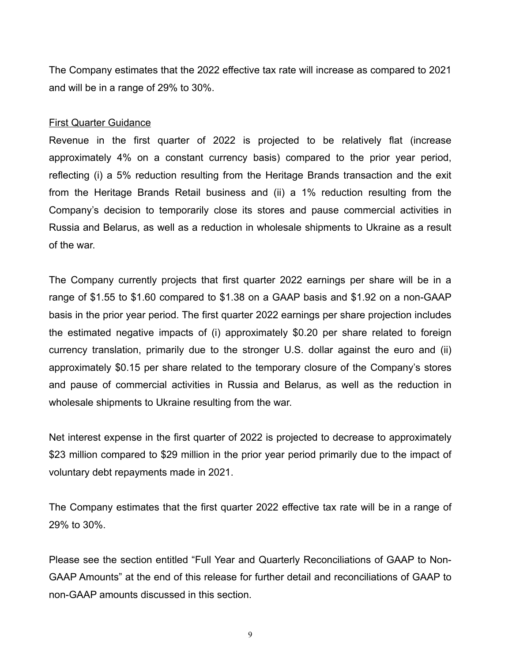The Company estimates that the 2022 effective tax rate will increase as compared to 2021 and will be in a range of 29% to 30%.

#### First Quarter Guidance

Revenue in the first quarter of 2022 is projected to be relatively flat (increase approximately 4% on a constant currency basis) compared to the prior year period, reflecting (i) a 5% reduction resulting from the Heritage Brands transaction and the exit from the Heritage Brands Retail business and (ii) a 1% reduction resulting from the Company's decision to temporarily close its stores and pause commercial activities in Russia and Belarus, as well as a reduction in wholesale shipments to Ukraine as a result of the war.

The Company currently projects that first quarter 2022 earnings per share will be in a range of \$1.55 to \$1.60 compared to \$1.38 on a GAAP basis and \$1.92 on a non-GAAP basis in the prior year period. The first quarter 2022 earnings per share projection includes the estimated negative impacts of (i) approximately \$0.20 per share related to foreign currency translation, primarily due to the stronger U.S. dollar against the euro and (ii) approximately \$0.15 per share related to the temporary closure of the Company's stores and pause of commercial activities in Russia and Belarus, as well as the reduction in wholesale shipments to Ukraine resulting from the war.

Net interest expense in the first quarter of 2022 is projected to decrease to approximately \$23 million compared to \$29 million in the prior year period primarily due to the impact of voluntary debt repayments made in 2021.

The Company estimates that the first quarter 2022 effective tax rate will be in a range of 29% to 30%.

Please see the section entitled "Full Year and Quarterly Reconciliations of GAAP to Non-GAAP Amounts" at the end of this release for further detail and reconciliations of GAAP to non-GAAP amounts discussed in this section.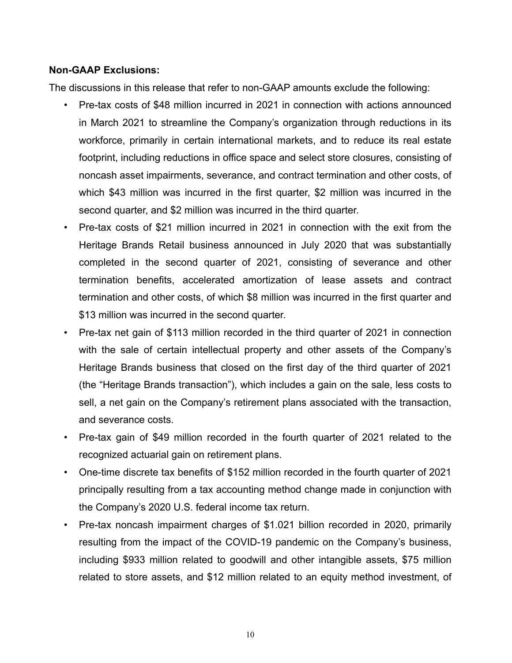#### **Non-GAAP Exclusions:**

The discussions in this release that refer to non-GAAP amounts exclude the following:

- Pre-tax costs of \$48 million incurred in 2021 in connection with actions announced in March 2021 to streamline the Company's organization through reductions in its workforce, primarily in certain international markets, and to reduce its real estate footprint, including reductions in office space and select store closures, consisting of noncash asset impairments, severance, and contract termination and other costs, of which \$43 million was incurred in the first quarter, \$2 million was incurred in the second quarter, and \$2 million was incurred in the third quarter.
- Pre-tax costs of \$21 million incurred in 2021 in connection with the exit from the Heritage Brands Retail business announced in July 2020 that was substantially completed in the second quarter of 2021, consisting of severance and other termination benefits, accelerated amortization of lease assets and contract termination and other costs, of which \$8 million was incurred in the first quarter and \$13 million was incurred in the second quarter.
- Pre-tax net gain of \$113 million recorded in the third quarter of 2021 in connection with the sale of certain intellectual property and other assets of the Company's Heritage Brands business that closed on the first day of the third quarter of 2021 (the "Heritage Brands transaction"), which includes a gain on the sale, less costs to sell, a net gain on the Company's retirement plans associated with the transaction, and severance costs.
- Pre-tax gain of \$49 million recorded in the fourth quarter of 2021 related to the recognized actuarial gain on retirement plans.
- One-time discrete tax benefits of \$152 million recorded in the fourth quarter of 2021 principally resulting from a tax accounting method change made in conjunction with the Company's 2020 U.S. federal income tax return.
- Pre-tax noncash impairment charges of \$1.021 billion recorded in 2020, primarily resulting from the impact of the COVID-19 pandemic on the Company's business, including \$933 million related to goodwill and other intangible assets, \$75 million related to store assets, and \$12 million related to an equity method investment, of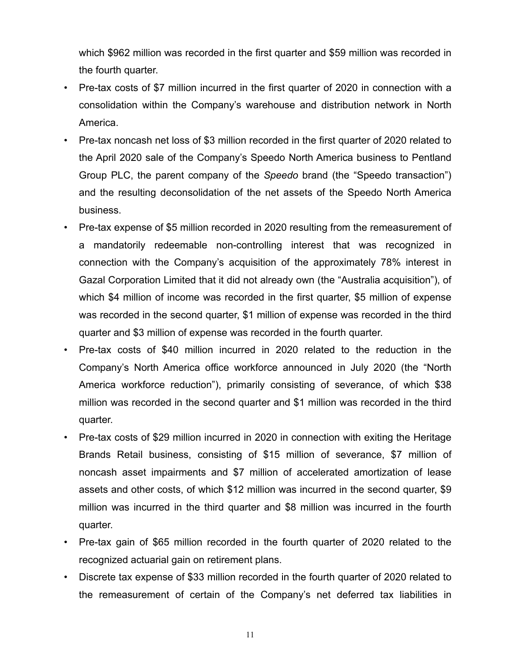which \$962 million was recorded in the first quarter and \$59 million was recorded in the fourth quarter.

- Pre-tax costs of \$7 million incurred in the first quarter of 2020 in connection with a consolidation within the Company's warehouse and distribution network in North America.
- Pre-tax noncash net loss of \$3 million recorded in the first quarter of 2020 related to the April 2020 sale of the Company's Speedo North America business to Pentland Group PLC, the parent company of the *Speedo* brand (the "Speedo transaction") and the resulting deconsolidation of the net assets of the Speedo North America business.
- Pre-tax expense of \$5 million recorded in 2020 resulting from the remeasurement of a mandatorily redeemable non-controlling interest that was recognized in connection with the Company's acquisition of the approximately 78% interest in Gazal Corporation Limited that it did not already own (the "Australia acquisition"), of which \$4 million of income was recorded in the first quarter, \$5 million of expense was recorded in the second quarter, \$1 million of expense was recorded in the third quarter and \$3 million of expense was recorded in the fourth quarter.
- Pre-tax costs of \$40 million incurred in 2020 related to the reduction in the Company's North America office workforce announced in July 2020 (the "North America workforce reduction"), primarily consisting of severance, of which \$38 million was recorded in the second quarter and \$1 million was recorded in the third quarter.
- Pre-tax costs of \$29 million incurred in 2020 in connection with exiting the Heritage Brands Retail business, consisting of \$15 million of severance, \$7 million of noncash asset impairments and \$7 million of accelerated amortization of lease assets and other costs, of which \$12 million was incurred in the second quarter, \$9 million was incurred in the third quarter and \$8 million was incurred in the fourth quarter.
- Pre-tax gain of \$65 million recorded in the fourth quarter of 2020 related to the recognized actuarial gain on retirement plans.
- Discrete tax expense of \$33 million recorded in the fourth quarter of 2020 related to the remeasurement of certain of the Company's net deferred tax liabilities in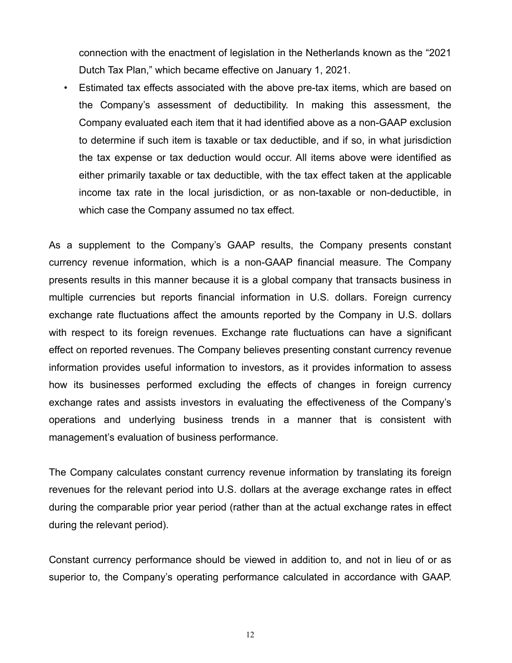connection with the enactment of legislation in the Netherlands known as the "2021 Dutch Tax Plan," which became effective on January 1, 2021.

• Estimated tax effects associated with the above pre-tax items, which are based on the Company's assessment of deductibility. In making this assessment, the Company evaluated each item that it had identified above as a non-GAAP exclusion to determine if such item is taxable or tax deductible, and if so, in what jurisdiction the tax expense or tax deduction would occur. All items above were identified as either primarily taxable or tax deductible, with the tax effect taken at the applicable income tax rate in the local jurisdiction, or as non-taxable or non-deductible, in which case the Company assumed no tax effect.

As a supplement to the Company's GAAP results, the Company presents constant currency revenue information, which is a non-GAAP financial measure. The Company presents results in this manner because it is a global company that transacts business in multiple currencies but reports financial information in U.S. dollars. Foreign currency exchange rate fluctuations affect the amounts reported by the Company in U.S. dollars with respect to its foreign revenues. Exchange rate fluctuations can have a significant effect on reported revenues. The Company believes presenting constant currency revenue information provides useful information to investors, as it provides information to assess how its businesses performed excluding the effects of changes in foreign currency exchange rates and assists investors in evaluating the effectiveness of the Company's operations and underlying business trends in a manner that is consistent with management's evaluation of business performance.

The Company calculates constant currency revenue information by translating its foreign revenues for the relevant period into U.S. dollars at the average exchange rates in effect during the comparable prior year period (rather than at the actual exchange rates in effect during the relevant period).

Constant currency performance should be viewed in addition to, and not in lieu of or as superior to, the Company's operating performance calculated in accordance with GAAP.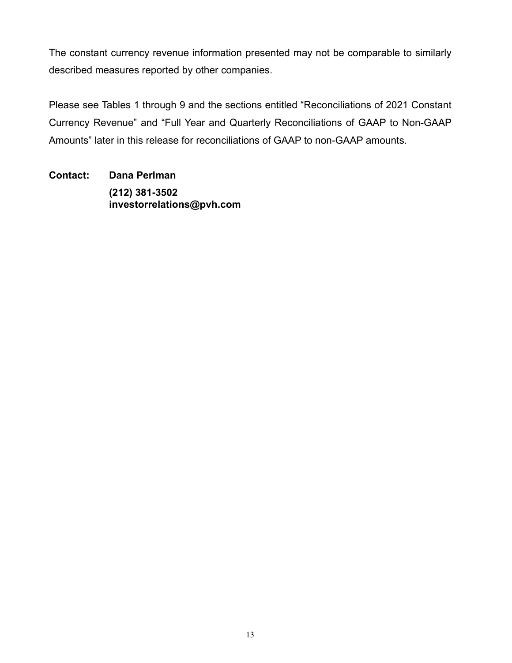The constant currency revenue information presented may not be comparable to similarly described measures reported by other companies.

Please see Tables 1 through 9 and the sections entitled "Reconciliations of 2021 Constant Currency Revenue" and "Full Year and Quarterly Reconciliations of GAAP to Non-GAAP Amounts" later in this release for reconciliations of GAAP to non-GAAP amounts.

**Contact: Dana Perlman (212) 381-3502 investorrelations@pvh.com**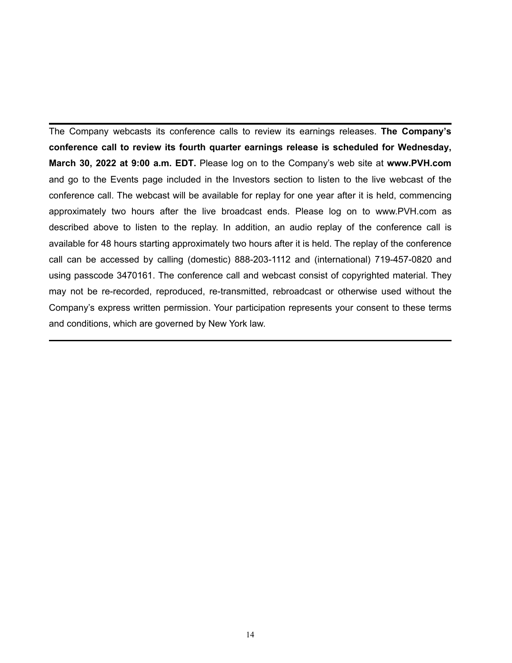The Company webcasts its conference calls to review its earnings releases. **The Company's conference call to review its fourth quarter earnings release is scheduled for Wednesday, March 30, 2022 at 9:00 a.m. EDT.** Please log on to the Company's web site at **www.PVH.com** and go to the Events page included in the Investors section to listen to the live webcast of the conference call. The webcast will be available for replay for one year after it is held, commencing approximately two hours after the live broadcast ends. Please log on to www.PVH.com as described above to listen to the replay. In addition, an audio replay of the conference call is available for 48 hours starting approximately two hours after it is held. The replay of the conference call can be accessed by calling (domestic) 888-203-1112 and (international) 719-457-0820 and using passcode 3470161. The conference call and webcast consist of copyrighted material. They may not be re-recorded, reproduced, re-transmitted, rebroadcast or otherwise used without the Company's express written permission. Your participation represents your consent to these terms and conditions, which are governed by New York law.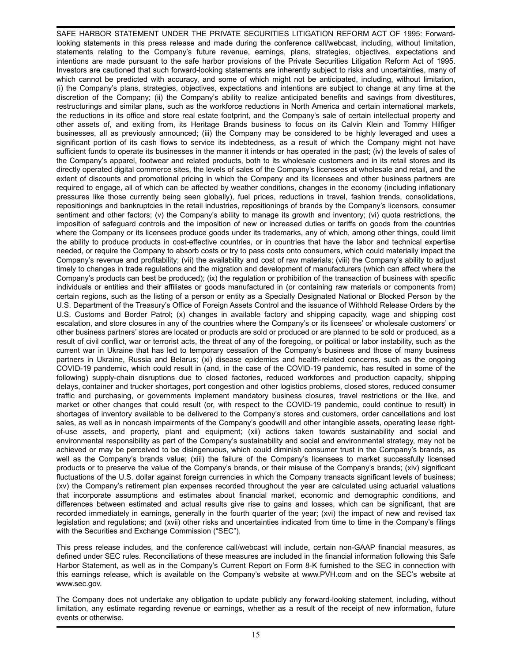SAFE HARBOR STATEMENT UNDER THE PRIVATE SECURITIES LITIGATION REFORM ACT OF 1995: Forwardlooking statements in this press release and made during the conference call/webcast, including, without limitation, statements relating to the Company's future revenue, earnings, plans, strategies, objectives, expectations and intentions are made pursuant to the safe harbor provisions of the Private Securities Litigation Reform Act of 1995. Investors are cautioned that such forward-looking statements are inherently subject to risks and uncertainties, many of which cannot be predicted with accuracy, and some of which might not be anticipated, including, without limitation, (i) the Company's plans, strategies, objectives, expectations and intentions are subject to change at any time at the discretion of the Company; (ii) the Company's ability to realize anticipated benefits and savings from divestitures, restructurings and similar plans, such as the workforce reductions in North America and certain international markets, the reductions in its office and store real estate footprint, and the Company's sale of certain intellectual property and other assets of, and exiting from, its Heritage Brands business to focus on its Calvin Klein and Tommy Hilfiger businesses, all as previously announced; (iii) the Company may be considered to be highly leveraged and uses a significant portion of its cash flows to service its indebtedness, as a result of which the Company might not have sufficient funds to operate its businesses in the manner it intends or has operated in the past; (iv) the levels of sales of the Company's apparel, footwear and related products, both to its wholesale customers and in its retail stores and its directly operated digital commerce sites, the levels of sales of the Company's licensees at wholesale and retail, and the extent of discounts and promotional pricing in which the Company and its licensees and other business partners are required to engage, all of which can be affected by weather conditions, changes in the economy (including inflationary pressures like those currently being seen globally), fuel prices, reductions in travel, fashion trends, consolidations, repositionings and bankruptcies in the retail industries, repositionings of brands by the Company's licensors, consumer sentiment and other factors; (v) the Company's ability to manage its growth and inventory; (vi) quota restrictions, the imposition of safeguard controls and the imposition of new or increased duties or tariffs on goods from the countries where the Company or its licensees produce goods under its trademarks, any of which, among other things, could limit the ability to produce products in cost-effective countries, or in countries that have the labor and technical expertise needed, or require the Company to absorb costs or try to pass costs onto consumers, which could materially impact the Company's revenue and profitability; (vii) the availability and cost of raw materials; (viii) the Company's ability to adjust timely to changes in trade regulations and the migration and development of manufacturers (which can affect where the Company's products can best be produced); (ix) the regulation or prohibition of the transaction of business with specific individuals or entities and their affiliates or goods manufactured in (or containing raw materials or components from) certain regions, such as the listing of a person or entity as a Specially Designated National or Blocked Person by the U.S. Department of the Treasury's Office of Foreign Assets Control and the issuance of Withhold Release Orders by the U.S. Customs and Border Patrol; (x) changes in available factory and shipping capacity, wage and shipping cost escalation, and store closures in any of the countries where the Company's or its licensees' or wholesale customers' or other business partners' stores are located or products are sold or produced or are planned to be sold or produced, as a result of civil conflict, war or terrorist acts, the threat of any of the foregoing, or political or labor instability, such as the current war in Ukraine that has led to temporary cessation of the Company's business and those of many business partners in Ukraine, Russia and Belarus; (xi) disease epidemics and health-related concerns, such as the ongoing COVID-19 pandemic, which could result in (and, in the case of the COVID-19 pandemic, has resulted in some of the following) supply-chain disruptions due to closed factories, reduced workforces and production capacity, shipping delays, container and trucker shortages, port congestion and other logistics problems, closed stores, reduced consumer traffic and purchasing, or governments implement mandatory business closures, travel restrictions or the like, and market or other changes that could result (or, with respect to the COVID-19 pandemic, could continue to result) in shortages of inventory available to be delivered to the Company's stores and customers, order cancellations and lost sales, as well as in noncash impairments of the Company's goodwill and other intangible assets, operating lease rightof-use assets, and property, plant and equipment; (xii) actions taken towards sustainability and social and environmental responsibility as part of the Company's sustainability and social and environmental strategy, may not be achieved or may be perceived to be disingenuous, which could diminish consumer trust in the Company's brands, as well as the Company's brands value; (xiii) the failure of the Company's licensees to market successfully licensed products or to preserve the value of the Company's brands, or their misuse of the Company's brands; (xiv) significant fluctuations of the U.S. dollar against foreign currencies in which the Company transacts significant levels of business; (xv) the Company's retirement plan expenses recorded throughout the year are calculated using actuarial valuations that incorporate assumptions and estimates about financial market, economic and demographic conditions, and differences between estimated and actual results give rise to gains and losses, which can be significant, that are recorded immediately in earnings, generally in the fourth quarter of the year; (xvi) the impact of new and revised tax legislation and regulations; and (xvii) other risks and uncertainties indicated from time to time in the Company's filings with the Securities and Exchange Commission ("SEC").

This press release includes, and the conference call/webcast will include, certain non-GAAP financial measures, as defined under SEC rules. Reconciliations of these measures are included in the financial information following this Safe Harbor Statement, as well as in the Company's Current Report on Form 8-K furnished to the SEC in connection with this earnings release, which is available on the Company's website at www.PVH.com and on the SEC's website at www.sec.gov.

The Company does not undertake any obligation to update publicly any forward-looking statement, including, without limitation, any estimate regarding revenue or earnings, whether as a result of the receipt of new information, future events or otherwise.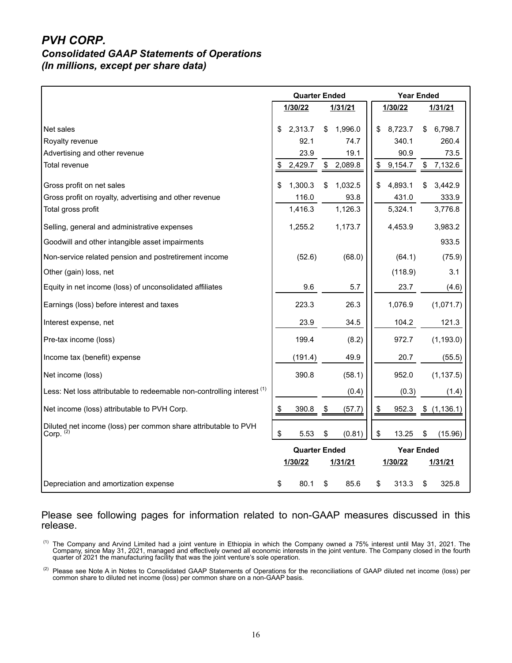#### *PVH CORP. Consolidated GAAP Statements of Operations (In millions, except per share data)*

|                                                                                        |    | <b>Quarter Ended</b> |               | <b>Year Ended</b> |    |            |  |
|----------------------------------------------------------------------------------------|----|----------------------|---------------|-------------------|----|------------|--|
|                                                                                        |    | 1/30/22              | 1/31/21       | 1/30/22           |    | 1/31/21    |  |
| Net sales                                                                              | \$ | 2,313.7              | \$<br>1,996.0 | \$<br>8,723.7     | \$ | 6,798.7    |  |
| Royalty revenue                                                                        |    | 92.1                 | 74.7          | 340.1             |    | 260.4      |  |
| Advertising and other revenue                                                          |    | 23.9                 | 19.1          | 90.9              |    | 73.5       |  |
| Total revenue                                                                          | S  | 2,429.7              | \$<br>2,089.8 | \$<br>9,154.7     | \$ | 7,132.6    |  |
| Gross profit on net sales                                                              | \$ | 1,300.3              | \$<br>1,032.5 | \$<br>4,893.1     | \$ | 3,442.9    |  |
| Gross profit on royalty, advertising and other revenue                                 |    | 116.0                | 93.8          | 431.0             |    | 333.9      |  |
| Total gross profit                                                                     |    | 1,416.3              | 1,126.3       | 5,324.1           |    | 3,776.8    |  |
| Selling, general and administrative expenses                                           |    | 1,255.2              | 1,173.7       | 4,453.9           |    | 3,983.2    |  |
| Goodwill and other intangible asset impairments                                        |    |                      |               |                   |    | 933.5      |  |
| Non-service related pension and postretirement income                                  |    | (52.6)               | (68.0)        | (64.1)            |    | (75.9)     |  |
| Other (gain) loss, net                                                                 |    |                      |               | (118.9)           |    | 3.1        |  |
| Equity in net income (loss) of unconsolidated affiliates                               |    | 9.6                  | 5.7           | 23.7              |    | (4.6)      |  |
| Earnings (loss) before interest and taxes                                              |    | 223.3                | 26.3          | 1,076.9           |    | (1,071.7)  |  |
| Interest expense, net                                                                  |    | 23.9                 | 34.5          | 104.2             |    | 121.3      |  |
| Pre-tax income (loss)                                                                  |    | 199.4                | (8.2)         | 972.7             |    | (1, 193.0) |  |
| Income tax (benefit) expense                                                           |    | (191.4)              | 49.9          | 20.7              |    | (55.5)     |  |
| Net income (loss)                                                                      |    | 390.8                | (58.1)        | 952.0             |    | (1, 137.5) |  |
| Less: Net loss attributable to redeemable non-controlling interest <sup>(1)</sup>      |    |                      | (0.4)         | (0.3)             |    | (1.4)      |  |
| Net income (loss) attributable to PVH Corp.                                            | \$ | 390.8                | \$<br>(57.7)  | \$<br>952.3       | \$ | (1, 136.1) |  |
| Diluted net income (loss) per common share attributable to PVH<br>Corp. <sup>(2)</sup> | \$ | 5.53                 | \$<br>(0.81)  | \$<br>13.25       | \$ | (15.96)    |  |
|                                                                                        |    | <b>Quarter Ended</b> |               | <b>Year Ended</b> |    |            |  |
|                                                                                        |    | 1/30/22              | 1/31/21       | 1/30/22           |    | 1/31/21    |  |
| Depreciation and amortization expense                                                  | \$ | 80.1                 | \$<br>85.6    | \$<br>313.3       | \$ | 325.8      |  |

#### Please see following pages for information related to non-GAAP measures discussed in this release.

 $<sup>(1)</sup>$  The Company and Arvind Limited had a joint venture in Ethiopia in which the Company owned a 75% interest until May 31, 2021. The</sup> Company, since May 31, 2021, managed and effectively owned all economic interests in the joint venture. The Company closed in the fourth quarter of 2021 the manufacturing facility that was the joint venture's sole operation.

 $^{(2)}$  Please see Note A in Notes to Consolidated GAAP Statements of Operations for the reconciliations of GAAP diluted net income (loss) per common share to diluted net income (loss) per common share on a non-GAAP basis.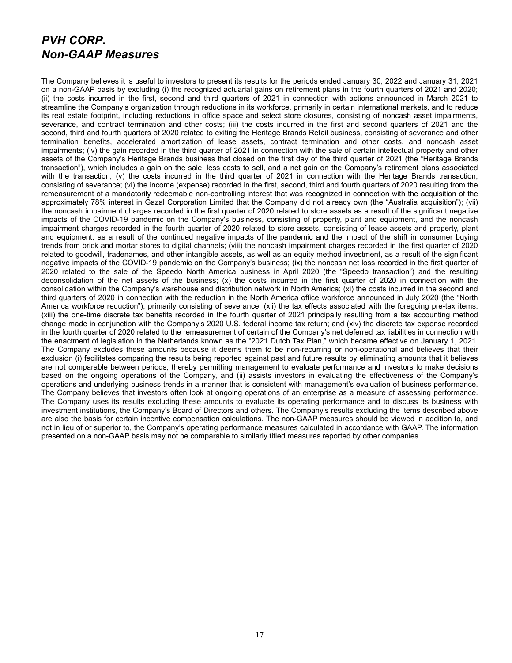#### *PVH CORP. Non-GAAP Measures*

The Company believes it is useful to investors to present its results for the periods ended January 30, 2022 and January 31, 2021 on a non-GAAP basis by excluding (i) the recognized actuarial gains on retirement plans in the fourth quarters of 2021 and 2020; (ii) the costs incurred in the first, second and third quarters of 2021 in connection with actions announced in March 2021 to streamline the Company's organization through reductions in its workforce, primarily in certain international markets, and to reduce its real estate footprint, including reductions in office space and select store closures, consisting of noncash asset impairments, severance, and contract termination and other costs; (iii) the costs incurred in the first and second quarters of 2021 and the second, third and fourth quarters of 2020 related to exiting the Heritage Brands Retail business, consisting of severance and other termination benefits, accelerated amortization of lease assets, contract termination and other costs, and noncash asset impairments; (iv) the gain recorded in the third quarter of 2021 in connection with the sale of certain intellectual property and other assets of the Company's Heritage Brands business that closed on the first day of the third quarter of 2021 (the "Heritage Brands transaction"), which includes a gain on the sale, less costs to sell, and a net gain on the Company's retirement plans associated with the transaction; (v) the costs incurred in the third quarter of 2021 in connection with the Heritage Brands transaction, consisting of severance; (vi) the income (expense) recorded in the first, second, third and fourth quarters of 2020 resulting from the remeasurement of a mandatorily redeemable non-controlling interest that was recognized in connection with the acquisition of the approximately 78% interest in Gazal Corporation Limited that the Company did not already own (the "Australia acquisition"); (vii) the noncash impairment charges recorded in the first quarter of 2020 related to store assets as a result of the significant negative impacts of the COVID-19 pandemic on the Company's business, consisting of property, plant and equipment, and the noncash impairment charges recorded in the fourth quarter of 2020 related to store assets, consisting of lease assets and property, plant and equipment, as a result of the continued negative impacts of the pandemic and the impact of the shift in consumer buying trends from brick and mortar stores to digital channels; (viii) the noncash impairment charges recorded in the first quarter of 2020 related to goodwill, tradenames, and other intangible assets, as well as an equity method investment, as a result of the significant negative impacts of the COVID-19 pandemic on the Company's business; (ix) the noncash net loss recorded in the first quarter of 2020 related to the sale of the Speedo North America business in April 2020 (the "Speedo transaction") and the resulting deconsolidation of the net assets of the business; (x) the costs incurred in the first quarter of 2020 in connection with the consolidation within the Company's warehouse and distribution network in North America; (xi) the costs incurred in the second and third quarters of 2020 in connection with the reduction in the North America office workforce announced in July 2020 (the "North America workforce reduction"), primarily consisting of severance; (xii) the tax effects associated with the foregoing pre-tax items; (xiii) the one-time discrete tax benefits recorded in the fourth quarter of 2021 principally resulting from a tax accounting method change made in conjunction with the Company's 2020 U.S. federal income tax return; and (xiv) the discrete tax expense recorded in the fourth quarter of 2020 related to the remeasurement of certain of the Company's net deferred tax liabilities in connection with the enactment of legislation in the Netherlands known as the "2021 Dutch Tax Plan," which became effective on January 1, 2021. The Company excludes these amounts because it deems them to be non-recurring or non-operational and believes that their exclusion (i) facilitates comparing the results being reported against past and future results by eliminating amounts that it believes are not comparable between periods, thereby permitting management to evaluate performance and investors to make decisions based on the ongoing operations of the Company, and (ii) assists investors in evaluating the effectiveness of the Company's operations and underlying business trends in a manner that is consistent with management's evaluation of business performance. The Company believes that investors often look at ongoing operations of an enterprise as a measure of assessing performance. The Company uses its results excluding these amounts to evaluate its operating performance and to discuss its business with investment institutions, the Company's Board of Directors and others. The Company's results excluding the items described above are also the basis for certain incentive compensation calculations. The non-GAAP measures should be viewed in addition to, and not in lieu of or superior to, the Company's operating performance measures calculated in accordance with GAAP. The information presented on a non-GAAP basis may not be comparable to similarly titled measures reported by other companies.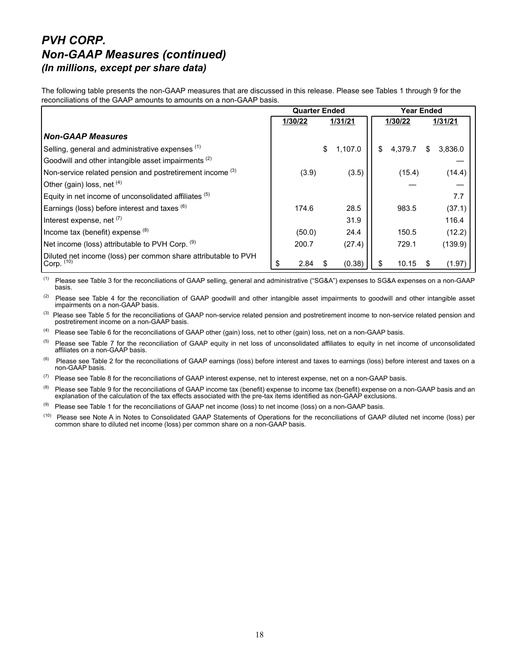#### *PVH CORP. Non-GAAP Measures (continued) (In millions, except per share data)*

The following table presents the non-GAAP measures that are discussed in this release. Please see Tables 1 through 9 for the reconciliations of the GAAP amounts to amounts on a non-GAAP basis.

|                                                                                | <b>Quarter Ended</b> |                         | <b>Year Ended</b> |         |  |  |
|--------------------------------------------------------------------------------|----------------------|-------------------------|-------------------|---------|--|--|
|                                                                                | 1/30/22              | 1/31/21                 | 1/30/22           | 1/31/21 |  |  |
| <b>Non-GAAP Measures</b>                                                       |                      |                         |                   |         |  |  |
| Selling, general and administrative expenses (1)                               |                      | $\mathbb{S}$<br>1,107.0 | 4.379.7           | 3,836.0 |  |  |
| Goodwill and other intangible asset impairments <sup>(2)</sup>                 |                      |                         |                   |         |  |  |
| Non-service related pension and postretirement income <sup>(3)</sup>           | (3.9)                | (3.5)                   | (15.4)            | (14.4)  |  |  |
| Other (gain) loss, net $(4)$                                                   |                      |                         |                   |         |  |  |
| Equity in net income of unconsolidated affiliates (5)                          |                      |                         |                   | 7.7     |  |  |
| Earnings (loss) before interest and taxes (6)                                  | 174.6                | 28.5                    | 983.5             | (37.1)  |  |  |
| Interest expense, net (7)                                                      |                      | 31.9                    |                   | 116.4   |  |  |
| Income tax (benefit) expense $(8)$                                             | (50.0)               | 24.4                    | 150.5             | (12.2)  |  |  |
| Net income (loss) attributable to PVH Corp. (9)                                | 200.7                | (27.4)                  | 729.1             | (139.9) |  |  |
| Diluted net income (loss) per common share attributable to PVH<br>Corp. $(10)$ | 2.84<br>\$           | (0.38)                  | 10.15             | (1.97)  |  |  |

(1) Please see Table 3 for the reconciliations of GAAP selling, general and administrative ("SG&A") expenses to SG&A expenses on a non-GAAP basis.

<sup>(2)</sup> Please see Table 4 for the reconciliation of GAAP goodwill and other intangible asset impairments to goodwill and other intangible asset impairments on a non-GAAP basis.

<sup>(3)</sup> Please see Table 5 for the reconciliations of GAAP non-service related pension and postretirement income to non-service related pension and postretirement income on a non-GAAP basis.

(4) Please see Table 6 for the reconciliations of GAAP other (gain) loss, net to other (gain) loss, net on a non-GAAP basis.

 $<sup>(5)</sup>$  Please see Table 7 for the reconciliation of GAAP equity in net loss of unconsolidated affiliates to equity in net income of unconsolidated</sup> affiliates on a non-GAAP basis.

 $<sup>(6)</sup>$  Please see Table 2 for the reconciliations of GAAP earnings (loss) before interest and taxes to earnings (loss) before interest and taxes on a</sup> non-GAAP basis.

 $(7)$  Please see Table 8 for the reconciliations of GAAP interest expense, net to interest expense, net on a non-GAAP basis.

(8) Please see Table 9 for the reconciliations of GAAP income tax (benefit) expense to income tax (benefit) expense on a non-GAAP basis and an explanation of the calculation of the tax effects associated with the pre-tax items identified as non-GAAP exclusions.

 $(9)$  Please see Table 1 for the reconciliations of GAAP net income (loss) to net income (loss) on a non-GAAP basis.

(10) Please see Note A in Notes to Consolidated GAAP Statements of Operations for the reconciliations of GAAP diluted net income (loss) per common share to diluted net income (loss) per common share on a non-GAAP basis.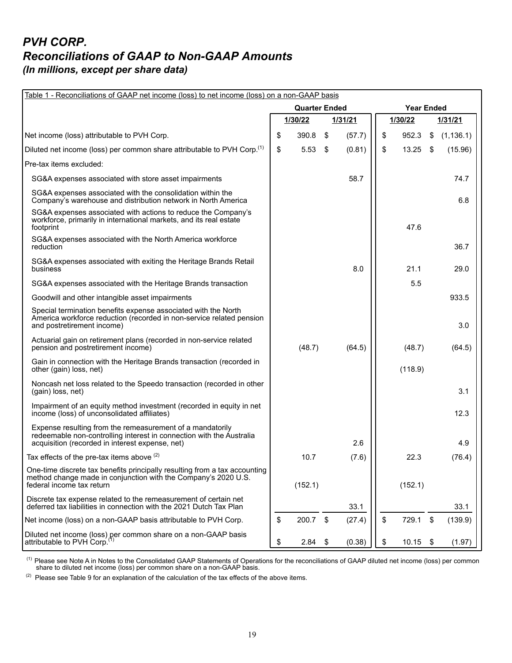#### *PVH CORP. Reconciliations of GAAP to Non-GAAP Amounts (In millions, except per share data)*

| Table 1 - Reconciliations of GAAP net income (loss) to net income (loss) on a non-GAAP basis                                                                                         |    |                      |      |         |    |                   |                           |            |  |  |
|--------------------------------------------------------------------------------------------------------------------------------------------------------------------------------------|----|----------------------|------|---------|----|-------------------|---------------------------|------------|--|--|
|                                                                                                                                                                                      |    | <b>Quarter Ended</b> |      |         |    | <b>Year Ended</b> |                           |            |  |  |
|                                                                                                                                                                                      |    | 1/30/22              |      | 1/31/21 |    | 1/30/22           |                           | 1/31/21    |  |  |
| Net income (loss) attributable to PVH Corp.                                                                                                                                          | \$ | 390.8                | \$   | (57.7)  | \$ | 952.3             | \$                        | (1, 136.1) |  |  |
| Diluted net income (loss) per common share attributable to PVH Corp. <sup>(1)</sup>                                                                                                  | \$ | 5.53                 | \$   | (0.81)  | \$ | 13.25             | \$                        | (15.96)    |  |  |
| Pre-tax items excluded:                                                                                                                                                              |    |                      |      |         |    |                   |                           |            |  |  |
| SG&A expenses associated with store asset impairments                                                                                                                                |    |                      |      | 58.7    |    |                   |                           | 74.7       |  |  |
| SG&A expenses associated with the consolidation within the<br>Company's warehouse and distribution network in North America                                                          |    |                      |      |         |    |                   |                           | 6.8        |  |  |
| SG&A expenses associated with actions to reduce the Company's<br>workforce, primarily in international markets, and its real estate<br>footprint                                     |    |                      |      |         |    | 47.6              |                           |            |  |  |
| SG&A expenses associated with the North America workforce<br>reduction                                                                                                               |    |                      |      |         |    |                   |                           | 36.7       |  |  |
| SG&A expenses associated with exiting the Heritage Brands Retail<br>business                                                                                                         |    |                      |      | 8.0     |    | 21.1              |                           | 29.0       |  |  |
| SG&A expenses associated with the Heritage Brands transaction                                                                                                                        |    |                      |      |         |    | 5.5               |                           |            |  |  |
| Goodwill and other intangible asset impairments                                                                                                                                      |    |                      |      |         |    |                   |                           | 933.5      |  |  |
| Special termination benefits expense associated with the North<br>America workforce reduction (recorded in non-service related pension<br>and postretirement income)                 |    |                      |      |         |    |                   |                           | 3.0        |  |  |
| Actuarial gain on retirement plans (recorded in non-service related<br>pension and postretirement income)                                                                            |    | (48.7)               |      | (64.5)  |    | (48.7)            |                           | (64.5)     |  |  |
| Gain in connection with the Heritage Brands transaction (recorded in<br>other (gain) loss, net)                                                                                      |    |                      |      |         |    | (118.9)           |                           |            |  |  |
| Noncash net loss related to the Speedo transaction (recorded in other<br>(gain) loss, net)                                                                                           |    |                      |      |         |    |                   |                           | 3.1        |  |  |
| Impairment of an equity method investment (recorded in equity in net<br>income (loss) of unconsolidated affiliates)                                                                  |    |                      |      |         |    |                   |                           | 12.3       |  |  |
| Expense resulting from the remeasurement of a mandatorily<br>redeemable non-controlling interest in connection with the Australia<br>acquisition (recorded in interest expense, net) |    |                      |      | 2.6     |    |                   |                           | 4.9        |  |  |
| Tax effects of the pre-tax items above <sup>(2)</sup>                                                                                                                                |    | 10.7                 |      | (7.6)   |    | 22.3              |                           | (76.4)     |  |  |
| One-time discrete tax benefits principally resulting from a tax accounting<br>method change made in conjunction with the Company's 2020 U.S.<br>federal income tax return            |    | (152.1)              |      |         |    | (152.1)           |                           |            |  |  |
| Discrete tax expense related to the remeasurement of certain net<br>deferred tax liabilities in connection with the 2021 Dutch Tax Plan                                              |    |                      |      | 33.1    |    |                   |                           | 33.1       |  |  |
| Net income (loss) on a non-GAAP basis attributable to PVH Corp.                                                                                                                      | \$ | 200.7                | \$   | (27.4)  | \$ | 729.1             | $\boldsymbol{\mathsf{S}}$ | (139.9)    |  |  |
| Diluted net income (loss) per common share on a non-GAAP basis<br>attributable to PVH Corp. <sup>(1)</sup>                                                                           | \$ | 2.84                 | - \$ | (0.38)  | \$ | 10.15             | -\$                       | (1.97)     |  |  |

 $<sup>(1)</sup>$  Please see Note A in Notes to the Consolidated GAAP Statements of Operations for the reconciliations of GAAP diluted net income (loss) per common</sup> share to diluted net income (loss) per common share on a non-GAAP basis.

 $(2)$  Please see Table 9 for an explanation of the calculation of the tax effects of the above items.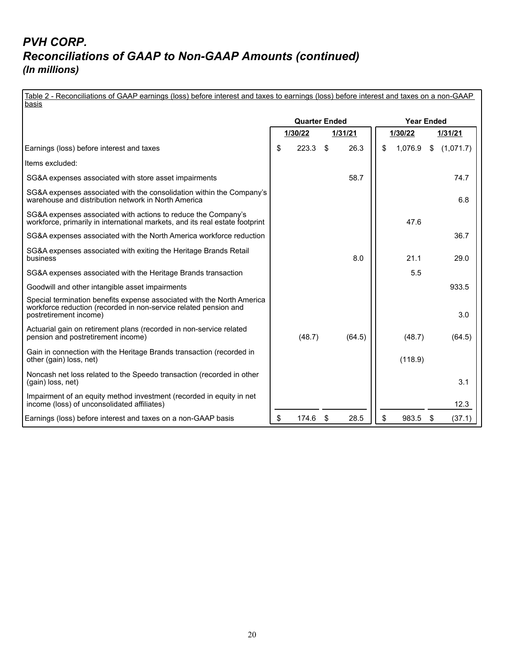| Table 2 - Reconciliations of GAAP earnings (loss) before interest and taxes to earnings (loss) before interest and taxes on a non-GAAP<br>basis                      |    |                      |     |         |    |                   |                |           |  |  |  |
|----------------------------------------------------------------------------------------------------------------------------------------------------------------------|----|----------------------|-----|---------|----|-------------------|----------------|-----------|--|--|--|
|                                                                                                                                                                      |    |                      |     |         |    |                   |                |           |  |  |  |
|                                                                                                                                                                      |    | <b>Quarter Ended</b> |     |         |    | <b>Year Ended</b> |                |           |  |  |  |
|                                                                                                                                                                      |    | 1/30/22              |     | 1/31/21 |    | 1/30/22           |                | 1/31/21   |  |  |  |
| Earnings (loss) before interest and taxes                                                                                                                            | \$ | 223.3                | \$  | 26.3    | \$ | 1,076.9           | $\mathfrak{S}$ | (1,071.7) |  |  |  |
| Items excluded:                                                                                                                                                      |    |                      |     |         |    |                   |                |           |  |  |  |
| SG&A expenses associated with store asset impairments                                                                                                                |    |                      |     | 58.7    |    |                   |                | 74.7      |  |  |  |
| SG&A expenses associated with the consolidation within the Company's<br>warehouse and distribution network in North America                                          |    |                      |     |         |    |                   |                | 6.8       |  |  |  |
| SG&A expenses associated with actions to reduce the Company's<br>workforce, primarily in international markets, and its real estate footprint                        |    |                      |     |         |    | 47.6              |                |           |  |  |  |
| SG&A expenses associated with the North America workforce reduction                                                                                                  |    |                      |     |         |    |                   |                | 36.7      |  |  |  |
| SG&A expenses associated with exiting the Heritage Brands Retail<br>business                                                                                         |    |                      |     | 8.0     |    | 21.1              |                | 29.0      |  |  |  |
| SG&A expenses associated with the Heritage Brands transaction                                                                                                        |    |                      |     |         |    | 5.5               |                |           |  |  |  |
| Goodwill and other intangible asset impairments                                                                                                                      |    |                      |     |         |    |                   |                | 933.5     |  |  |  |
| Special termination benefits expense associated with the North America<br>workforce reduction (recorded in non-service related pension and<br>postretirement income) |    |                      |     |         |    |                   |                | 3.0       |  |  |  |
| Actuarial gain on retirement plans (recorded in non-service related<br>pension and postretirement income)                                                            |    | (48.7)               |     | (64.5)  |    | (48.7)            |                | (64.5)    |  |  |  |
| Gain in connection with the Heritage Brands transaction (recorded in<br>other (gain) loss, net)                                                                      |    |                      |     |         |    | (118.9)           |                |           |  |  |  |
| Noncash net loss related to the Speedo transaction (recorded in other<br>(gain) loss, net)                                                                           |    |                      |     |         |    |                   |                | 3.1       |  |  |  |
| Impairment of an equity method investment (recorded in equity in net<br>income (loss) of unconsolidated affiliates)                                                  |    |                      |     |         |    |                   |                | 12.3      |  |  |  |
| Earnings (loss) before interest and taxes on a non-GAAP basis                                                                                                        | \$ | 174.6                | -\$ | 28.5    | \$ | 983.5             | \$             | (37.1)    |  |  |  |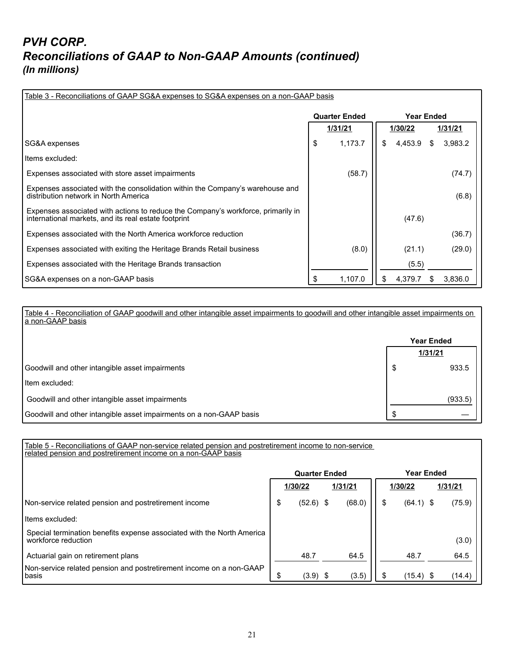| Table 3 - Reconciliations of GAAP SG&A expenses to SG&A expenses on a non-GAAP basis                                                     |    |                      |     |                   |   |         |  |  |  |  |  |
|------------------------------------------------------------------------------------------------------------------------------------------|----|----------------------|-----|-------------------|---|---------|--|--|--|--|--|
|                                                                                                                                          |    | <b>Quarter Ended</b> |     | <b>Year Ended</b> |   |         |  |  |  |  |  |
|                                                                                                                                          |    | 1/31/21              |     | 1/30/22           |   | 1/31/21 |  |  |  |  |  |
| SG&A expenses                                                                                                                            | \$ | 1,173.7              | \$. | 4,453.9           | S | 3,983.2 |  |  |  |  |  |
| Items excluded:                                                                                                                          |    |                      |     |                   |   |         |  |  |  |  |  |
| Expenses associated with store asset impairments                                                                                         |    | (58.7)               |     |                   |   | (74.7)  |  |  |  |  |  |
| Expenses associated with the consolidation within the Company's warehouse and<br>distribution network in North America                   |    |                      |     |                   |   | (6.8)   |  |  |  |  |  |
| Expenses associated with actions to reduce the Company's workforce, primarily in<br>international markets, and its real estate footprint |    |                      |     | (47.6)            |   |         |  |  |  |  |  |
| Expenses associated with the North America workforce reduction                                                                           |    |                      |     |                   |   | (36.7)  |  |  |  |  |  |
| Expenses associated with exiting the Heritage Brands Retail business                                                                     |    | (8.0)                |     | (21.1)            |   | (29.0)  |  |  |  |  |  |
| Expenses associated with the Heritage Brands transaction                                                                                 |    |                      |     | (5.5)             |   |         |  |  |  |  |  |
| SG&A expenses on a non-GAAP basis                                                                                                        |    | 1,107.0              | \$. | 4,379.7           |   | 3,836.0 |  |  |  |  |  |

Table 4 - Reconciliation of GAAP goodwill and other intangible asset impairments to goodwill and other intangible asset impairments on a non-GAAP basis

|                                                                     | <b>Year Ended</b> |         |  |
|---------------------------------------------------------------------|-------------------|---------|--|
|                                                                     | 1/31/21           |         |  |
| Goodwill and other intangible asset impairments                     | S.                | 933.5   |  |
| l Item excluded:                                                    |                   |         |  |
| Goodwill and other intangible asset impairments                     |                   | (933.5) |  |
| Goodwill and other intangible asset impairments on a non-GAAP basis | ß.                |         |  |

Table 5 - Reconciliations of GAAP non-service related pension and postretirement income to non-service related pension and postretirement income on a non-GAAP basis

|                                                                                               |                    | <b>Quarter Ended</b> |  |        | <b>Year Ended</b> |             |        |  |
|-----------------------------------------------------------------------------------------------|--------------------|----------------------|--|--------|-------------------|-------------|--------|--|
|                                                                                               | 1/31/21<br>1/30/22 |                      |  |        | 1/30/22           | 1/31/21     |        |  |
| Non-service related pension and postretirement income                                         | \$                 | $(52.6)$ \$          |  | (68.0) |                   | $(64.1)$ \$ | (75.9) |  |
| Htems excluded:                                                                               |                    |                      |  |        |                   |             |        |  |
| Special termination benefits expense associated with the North America<br>workforce reduction |                    |                      |  |        |                   |             | (3.0)  |  |
| Actuarial gain on retirement plans                                                            |                    | 48.7                 |  | 64.5   |                   | 48.7        | 64.5   |  |
| Non-service related pension and postretirement income on a non-GAAP<br>l basis                | \$                 | $(3.9)$ \$           |  | (3.5)  |                   | (15.4)      | (14.4) |  |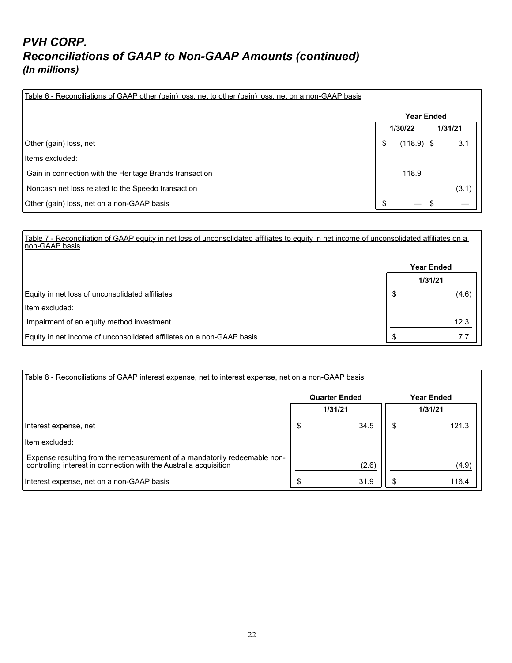| Table 6 - Reconciliations of GAAP other (gain) loss, net to other (gain) loss, net on a non-GAAP basis |                    |         |  |  |  |
|--------------------------------------------------------------------------------------------------------|--------------------|---------|--|--|--|
|                                                                                                        | <b>Year Ended</b>  |         |  |  |  |
|                                                                                                        | 1/30/22            | 1/31/21 |  |  |  |
| Other (gain) loss, net                                                                                 | \$<br>$(118.9)$ \$ | 3.1     |  |  |  |
| Items excluded:                                                                                        |                    |         |  |  |  |
| Gain in connection with the Heritage Brands transaction                                                | 118.9              |         |  |  |  |
| Noncash net loss related to the Speedo transaction                                                     |                    | (3.1)   |  |  |  |
| Other (gain) loss, net on a non-GAAP basis                                                             |                    |         |  |  |  |

Table 7 - Reconciliation of GAAP equity in net loss of unconsolidated affiliates to equity in net income of unconsolidated affiliates on a non-GAAP basis

|                                                                       | <b>Year Ended</b> |         |  |
|-----------------------------------------------------------------------|-------------------|---------|--|
|                                                                       |                   | 1/31/21 |  |
| Equity in net loss of unconsolidated affiliates                       | S                 | (4.6)   |  |
| l Item excluded:                                                      |                   |         |  |
| Impairment of an equity method investment                             |                   | 12.3    |  |
| Equity in net income of unconsolidated affiliates on a non-GAAP basis |                   | 7.7     |  |

| Table 8 - Reconciliations of GAAP interest expense, net to interest expense, net on a non-GAAP basis                                           |                      |       |                   |       |  |  |  |  |  |  |
|------------------------------------------------------------------------------------------------------------------------------------------------|----------------------|-------|-------------------|-------|--|--|--|--|--|--|
|                                                                                                                                                | <b>Quarter Ended</b> |       | <b>Year Ended</b> |       |  |  |  |  |  |  |
|                                                                                                                                                | 1/31/21              |       | 1/31/21           |       |  |  |  |  |  |  |
| Interest expense, net                                                                                                                          | S                    | 34.5  |                   | 121.3 |  |  |  |  |  |  |
| l Item excluded:                                                                                                                               |                      |       |                   |       |  |  |  |  |  |  |
| Expense resulting from the remeasurement of a mandatorily redeemable non-<br>controlling interest in connection with the Australia acquisition |                      | (2.6) |                   | (4.9) |  |  |  |  |  |  |
| Interest expense, net on a non-GAAP basis                                                                                                      |                      | 31.9  |                   | 116.4 |  |  |  |  |  |  |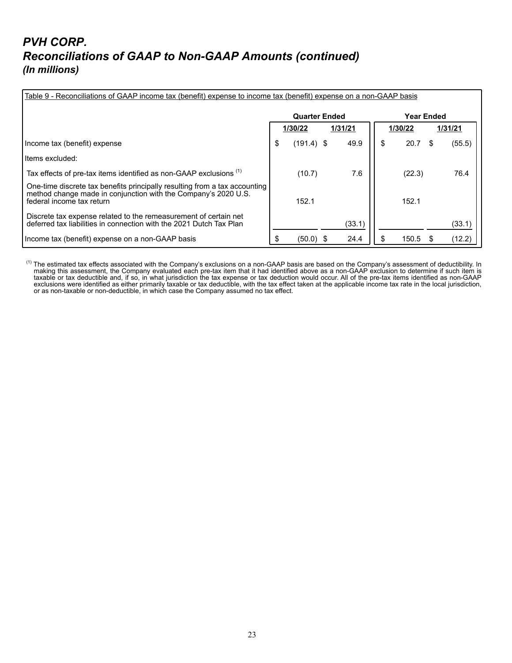| Table 9 - Reconciliations of GAAP income tax (benefit) expense to income tax (benefit) expense on a non-GAAP basis                                                        |                      |              |  |        |         |                   |         |        |  |  |  |
|---------------------------------------------------------------------------------------------------------------------------------------------------------------------------|----------------------|--------------|--|--------|---------|-------------------|---------|--------|--|--|--|
|                                                                                                                                                                           | <b>Quarter Ended</b> |              |  |        |         | <b>Year Ended</b> |         |        |  |  |  |
|                                                                                                                                                                           | 1/30/22<br>1/31/21   |              |  |        | 1/30/22 |                   | 1/31/21 |        |  |  |  |
| Income tax (benefit) expense                                                                                                                                              | \$                   | $(191.4)$ \$ |  | 49.9   |         | 20.7              |         | (55.5) |  |  |  |
| Items excluded:                                                                                                                                                           |                      |              |  |        |         |                   |         |        |  |  |  |
| Tax effects of pre-tax items identified as non-GAAP exclusions <sup>(1)</sup>                                                                                             |                      | (10.7)       |  | 7.6    |         | (22.3)            |         | 76.4   |  |  |  |
| One-time discrete tax benefits principally resulting from a tax accounting<br>method change made in conjunction with the Company's 2020 U.S.<br>federal income tax return |                      | 152.1        |  |        |         | 152.1             |         |        |  |  |  |
| Discrete tax expense related to the remeasurement of certain net<br>deferred tax liabilities in connection with the 2021 Dutch Tax Plan                                   |                      |              |  | (33.1) |         |                   |         | (33.1) |  |  |  |
| Income tax (benefit) expense on a non-GAAP basis                                                                                                                          |                      | (50.0)       |  | 24.4   |         | 150.5             |         | (12.2) |  |  |  |

 $^{(1)}$  The estimated tax effects associated with the Company's exclusions on a non-GAAP basis are based on the Company's assessment of deductibility. In making this assessment, the Company evaluated each pre-tax item that it had identified above as a non-GAAP exclusion to determine if such item is taxable or tax deductible and, if so, in what jurisdiction the tax expense or tax deduction would occur. All of the pre-tax items identified as non-GAAP exclusions were identified as either primarily taxable or tax deductible, with the tax effect taken at the applicable income tax rate in the local jurisdiction, or as non-taxable or non-deductible, in which case the Company assumed no tax effect.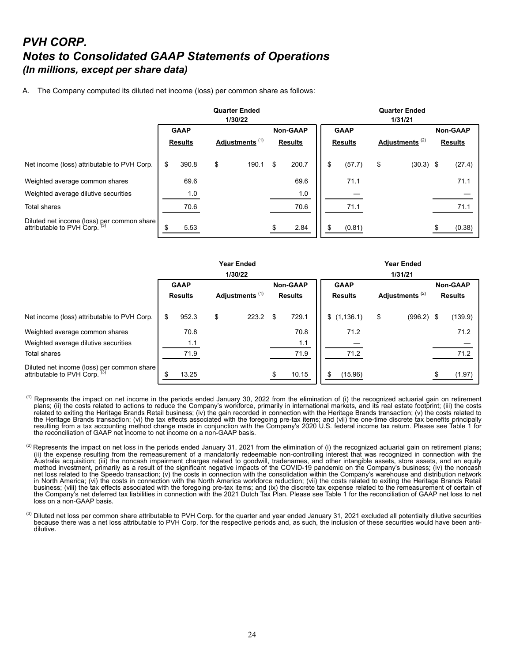#### *PVH CORP. Notes to Consolidated GAAP Statements of Operations (In millions, except per share data)*

A. The Company computed its diluted net income (loss) per common share as follows:

|                                                                             | <b>Quarter Ended</b><br>1/30/22 |                |                            |       |                |                 |                |             | <b>Quarter Ended</b><br>1/31/21 |             |                |                 |  |  |  |
|-----------------------------------------------------------------------------|---------------------------------|----------------|----------------------------|-------|----------------|-----------------|----------------|-------------|---------------------------------|-------------|----------------|-----------------|--|--|--|
|                                                                             |                                 | <b>GAAP</b>    |                            |       |                | <b>Non-GAAP</b> |                | <b>GAAP</b> |                                 |             |                | <b>Non-GAAP</b> |  |  |  |
|                                                                             |                                 | <b>Results</b> | Adjustments <sup>(1)</sup> |       | <b>Results</b> |                 | <b>Results</b> |             | Adjustments <sup>(2)</sup>      |             | <b>Results</b> |                 |  |  |  |
| Net income (loss) attributable to PVH Corp.                                 | \$                              | 390.8          | \$                         | 190.1 | \$             | 200.7           | \$             | (57.7)      | \$                              | $(30.3)$ \$ |                | (27.4)          |  |  |  |
| Weighted average common shares                                              |                                 | 69.6           |                            |       |                | 69.6            |                | 71.1        |                                 |             |                | 71.1            |  |  |  |
| Weighted average dilutive securities                                        |                                 | 1.0            |                            |       |                | 1.0             |                |             |                                 |             |                |                 |  |  |  |
| <b>Total shares</b>                                                         |                                 | 70.6           |                            |       |                | 70.6            |                | 71.1        |                                 |             |                | 71.1            |  |  |  |
| Diluted net income (loss) per common share<br>attributable to PVH Corp. (3) | £.                              | 5.53           |                            |       |                | 2.84            |                | (0.81)      |                                 |             |                | (0.38)          |  |  |  |

|                                                                             | <b>Year Ended</b> |                |    |                            |     |                 | <b>Year Ended</b>                                           |             |                |              |  |                 |  |
|-----------------------------------------------------------------------------|-------------------|----------------|----|----------------------------|-----|-----------------|-------------------------------------------------------------|-------------|----------------|--------------|--|-----------------|--|
|                                                                             |                   |                |    | 1/30/22                    |     |                 | 1/31/21                                                     |             |                |              |  |                 |  |
|                                                                             |                   | <b>GAAP</b>    |    |                            |     | <b>Non-GAAP</b> | <b>GAAP</b><br>Adjustments <sup>(2)</sup><br><b>Results</b> |             |                |              |  | <b>Non-GAAP</b> |  |
|                                                                             |                   | <b>Results</b> |    | Adjustments <sup>(1)</sup> |     | <b>Results</b>  |                                                             |             | <b>Results</b> |              |  |                 |  |
| Net income (loss) attributable to PVH Corp.                                 | \$                | 952.3          | \$ | 223.2                      | \$. | 729.1           |                                                             | \$(1,136.1) | \$             | $(996.2)$ \$ |  | (139.9)         |  |
| Weighted average common shares                                              |                   | 70.8           |    |                            |     | 70.8            |                                                             | 71.2        |                |              |  | 71.2            |  |
| Weighted average dilutive securities                                        |                   | 1.1            |    |                            |     | 1.1             |                                                             |             |                |              |  |                 |  |
| <b>Total shares</b>                                                         |                   | 71.9           |    |                            |     | 71.9            |                                                             | 71.2        |                |              |  | 71.2            |  |
| Diluted net income (loss) per common share<br>attributable to PVH Corp. (3) | S                 | 13.25          |    |                            |     | 10.15           | S                                                           | (15.96)     |                |              |  | (1.97)          |  |

- $<sup>(1)</sup>$  Represents the impact on net income in the periods ended January 30, 2022 from the elimination of (i) the recognized actuarial gain on retirement</sup> plans; (ii) the costs related to actions to reduce the Company's workforce, primarily in international markets, and its real estate footprint; (iii) the costs related to exiting the Heritage Brands Retail business; (iv) the gain recorded in connection with the Heritage Brands transaction; (v) the costs related to the Heritage Brands transaction; (vi) the tax effects associated with the foregoing pre-tax items; and (vii) the one-time discrete tax benefits principally resulting from a tax accounting method change made in conjunction with the Company's 2020 U.S. federal income tax return. Please see Table 1 for the reconciliation of GAAP net income to net income on a non-GAAP basis.
- $^{(2)}$  Represents the impact on net loss in the periods ended January 31, 2021 from the elimination of (i) the recognized actuarial gain on retirement plans; (ii) the expense resulting from the remeasurement of a mandatorily redeemable non-controlling interest that was recognized in connection with the Australia acquisition; (iii) the noncash impairment charges related to goodwill, tradenames, and other intangible assets, store assets, and an equity method investment, primarily as a result of the significant negative impacts of the COVID-19 pandemic on the Company's business; (iv) the noncash net loss related to the Speedo transaction; (v) the costs in connection with the consolidation within the Company's warehouse and distribution network in North America; (vi) the costs in connection with the North America workforce reduction; (vii) the costs related to exiting the Heritage Brands Retail business; (viii) the tax effects associated with the foregoing pre-tax items; and (ix) the discrete tax expense related to the remeasurement of certain of the Company's net deferred tax liabilities in connection with the 2021 Dutch Tax Plan. Please see Table 1 for the reconciliation of GAAP net loss to net loss on a non-GAAP basis.
- $^{(3)}$  Diluted net loss per common share attributable to PVH Corp. for the quarter and year ended January 31, 2021 excluded all potentially dilutive securities because there was a net loss attributable to PVH Corp. for the respective periods and, as such, the inclusion of these securities would have been antidilutive.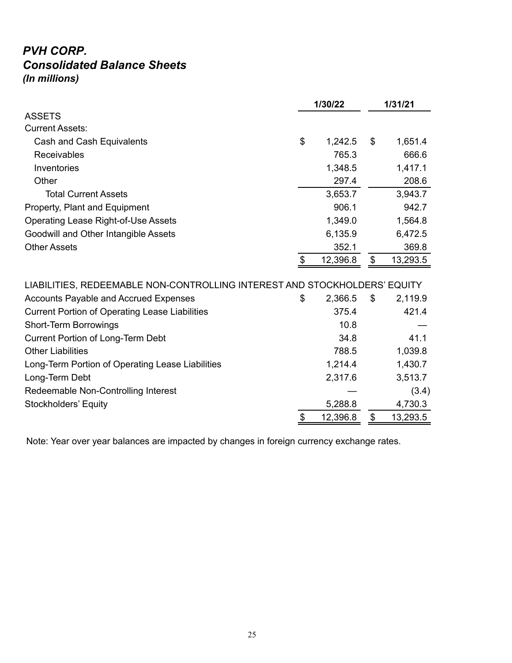#### *PVH CORP. Consolidated Balance Sheets (In millions)*

|                                                                           |       | 1/30/22  | 1/31/21                   |          |  |
|---------------------------------------------------------------------------|-------|----------|---------------------------|----------|--|
| <b>ASSETS</b>                                                             |       |          |                           |          |  |
| <b>Current Assets:</b>                                                    |       |          |                           |          |  |
| Cash and Cash Equivalents                                                 | \$    | 1,242.5  | $\boldsymbol{\mathsf{S}}$ | 1,651.4  |  |
| <b>Receivables</b>                                                        |       | 765.3    |                           | 666.6    |  |
| Inventories                                                               |       | 1,348.5  |                           | 1,417.1  |  |
| Other                                                                     |       | 297.4    |                           | 208.6    |  |
| <b>Total Current Assets</b>                                               |       | 3,653.7  |                           | 3,943.7  |  |
| Property, Plant and Equipment                                             |       | 906.1    |                           | 942.7    |  |
| <b>Operating Lease Right-of-Use Assets</b>                                |       | 1,349.0  |                           | 1,564.8  |  |
| Goodwill and Other Intangible Assets                                      |       | 6,135.9  |                           | 6,472.5  |  |
| <b>Other Assets</b>                                                       |       | 352.1    |                           | 369.8    |  |
|                                                                           | $\$\$ | 12,396.8 | $\boldsymbol{\mathsf{S}}$ | 13,293.5 |  |
|                                                                           |       |          |                           |          |  |
| LIABILITIES, REDEEMABLE NON-CONTROLLING INTEREST AND STOCKHOLDERS' EQUITY |       |          |                           |          |  |
| <b>Accounts Payable and Accrued Expenses</b>                              | \$    | 2,366.5  | \$                        | 2,119.9  |  |
| <b>Current Portion of Operating Lease Liabilities</b>                     |       | 375.4    |                           | 421.4    |  |
| <b>Short-Term Borrowings</b>                                              |       | 10.8     |                           |          |  |
| <b>Current Portion of Long-Term Debt</b>                                  |       | 34.8     |                           | 41.1     |  |
| <b>Other Liabilities</b>                                                  |       | 788.5    |                           | 1,039.8  |  |
| Long-Term Portion of Operating Lease Liabilities                          |       | 1,214.4  |                           | 1,430.7  |  |
| Long-Term Debt                                                            |       | 2,317.6  |                           | 3,513.7  |  |
| Redeemable Non-Controlling Interest                                       |       |          |                           | (3.4)    |  |
| <b>Stockholders' Equity</b>                                               |       | 5,288.8  |                           | 4,730.3  |  |
|                                                                           | S     | 12,396.8 | \$                        | 13,293.5 |  |

Note: Year over year balances are impacted by changes in foreign currency exchange rates.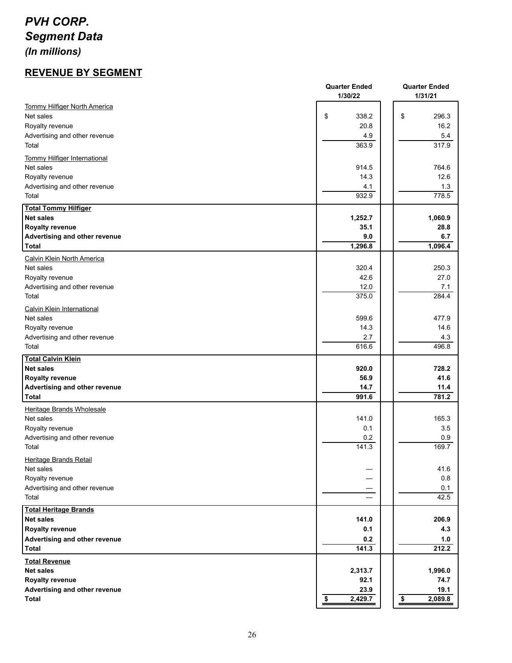### *PVH CORP. Segment Data*

*(In millions)*

#### **REVENUE BY SEGMENT**

|                                               | <b>Quarter Ended</b><br>1/30/22 | <b>Quarter Ended</b><br>1/31/21 |
|-----------------------------------------------|---------------------------------|---------------------------------|
| <b>Tommy Hilfiger North America</b>           |                                 |                                 |
| Net sales                                     | \$<br>338.2                     | \$<br>296.3                     |
| Royalty revenue                               | 20.8                            | 16.2                            |
| Advertising and other revenue<br>Total        | 4.9<br>363.9                    | 5.4<br>317.9                    |
| <b>Tommy Hilfiger International</b>           |                                 |                                 |
| Net sales                                     | 914.5                           | 764.6                           |
| Royalty revenue                               | 14.3                            | 12.6                            |
| Advertising and other revenue<br>Total        | 4.1<br>932.9                    | 1.3<br>778.5                    |
|                                               |                                 |                                 |
| <b>Total Tommy Hilfiger</b><br>Net sales      | 1,252.7                         | 1,060.9                         |
| <b>Royalty revenue</b>                        | 35.1                            | 28.8                            |
| Advertising and other revenue                 | 9.0                             | 6.7                             |
| Total                                         | 1,296.8                         | 1,096.4                         |
| Calvin Klein North America                    |                                 |                                 |
| Net sales                                     | 320.4                           | 250.3                           |
| Royalty revenue                               | 42.6                            | 27.0                            |
| Advertising and other revenue                 | 12.0                            | 7.1                             |
| Total                                         | 375.0                           | 284.4                           |
| <b>Calvin Klein International</b>             |                                 |                                 |
| Net sales                                     | 599.6                           | 477.9                           |
| Royalty revenue                               | 14.3                            | 14.6                            |
| Advertising and other revenue<br>Total        | 2.7<br>616.6                    | 4.3<br>496.8                    |
| <b>Total Calvin Klein</b>                     |                                 |                                 |
| Net sales                                     | 920.0                           | 728.2                           |
| <b>Royalty revenue</b>                        | 56.9                            | 41.6                            |
| Advertising and other revenue                 | 14.7                            | 11.4                            |
| Total                                         | 991.6                           | 781.2                           |
| Heritage Brands Wholesale                     |                                 |                                 |
| Net sales                                     | 141.0                           | 165.3                           |
| Royalty revenue                               | 0.1                             | 3.5                             |
| Advertising and other revenue<br>Total        | 0.2<br>141.3                    | 0.9<br>169.7                    |
|                                               |                                 |                                 |
| <b>Heritage Brands Retail</b><br>Net sales    |                                 | 41.6                            |
| Royalty revenue                               |                                 | 0.8                             |
| Advertising and other revenue                 |                                 | 0.1                             |
| Total                                         |                                 | 42.5                            |
| <b>Total Heritage Brands</b>                  |                                 |                                 |
| Net sales                                     | 141.0                           | 206.9                           |
| <b>Royalty revenue</b>                        | 0.1                             | 4.3                             |
| Advertising and other revenue                 | 0.2                             | 1.0                             |
| Total                                         | 141.3                           | 212.2                           |
| <b>Total Revenue</b>                          |                                 |                                 |
| <b>Net sales</b>                              | 2,313.7                         | 1,996.0                         |
| <b>Royalty revenue</b>                        | 92.1                            | 74.7                            |
| Advertising and other revenue<br><b>Total</b> | 23.9<br>2,429.7<br>\$           | 19.1<br>\$<br>2,089.8           |
|                                               |                                 |                                 |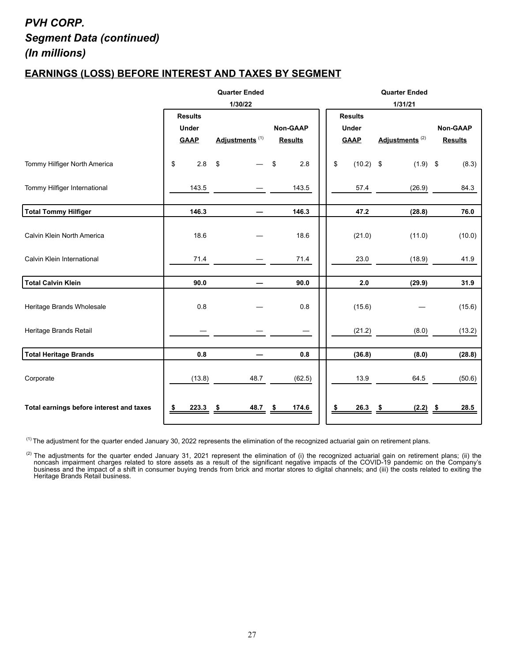#### *PVH CORP. Segment Data (continued) (In millions)*

#### **EARNINGS (LOSS) BEFORE INTEREST AND TAXES BY SEGMENT**

|                                          | <b>Quarter Ended</b> |                            |                 |  | <b>Quarter Ended</b> |                            |                 |  |  |  |  |  |
|------------------------------------------|----------------------|----------------------------|-----------------|--|----------------------|----------------------------|-----------------|--|--|--|--|--|
|                                          |                      | 1/30/22                    |                 |  |                      | 1/31/21                    |                 |  |  |  |  |  |
|                                          | <b>Results</b>       |                            |                 |  | <b>Results</b>       |                            |                 |  |  |  |  |  |
|                                          | <b>Under</b>         |                            | <b>Non-GAAP</b> |  | <b>Under</b>         |                            | <b>Non-GAAP</b> |  |  |  |  |  |
|                                          | <b>GAAP</b>          | Adjustments <sup>(1)</sup> | <b>Results</b>  |  | <b>GAAP</b>          | Adjustments <sup>(2)</sup> | <b>Results</b>  |  |  |  |  |  |
| Tommy Hilfiger North America             | \$<br>2.8            | \$                         | \$<br>2.8       |  | \$<br>$(10.2)$ \$    | $(1.9)$ \$                 | (8.3)           |  |  |  |  |  |
| Tommy Hilfiger International             | 143.5                |                            | 143.5           |  | 57.4                 | (26.9)                     | 84.3            |  |  |  |  |  |
| Total Tommy Hilfiger                     | 146.3                |                            | 146.3           |  | 47.2                 | (28.8)                     | 76.0            |  |  |  |  |  |
| Calvin Klein North America               | 18.6                 |                            | 18.6            |  | (21.0)               | (11.0)                     | (10.0)          |  |  |  |  |  |
| Calvin Klein International               | 71.4                 |                            | 71.4            |  | 23.0                 | (18.9)                     | 41.9            |  |  |  |  |  |
| Total Calvin Klein                       | 90.0                 |                            | 90.0            |  | 2.0                  | (29.9)                     | 31.9            |  |  |  |  |  |
| Heritage Brands Wholesale                | 0.8                  |                            | 0.8             |  | (15.6)               |                            | (15.6)          |  |  |  |  |  |
| Heritage Brands Retail                   |                      |                            |                 |  | (21.2)               | (8.0)                      | (13.2)          |  |  |  |  |  |
| Total Heritage Brands                    | 0.8                  |                            | 0.8             |  | (36.8)               | (8.0)                      | (28.8)          |  |  |  |  |  |
| Corporate                                | (13.8)               | 48.7                       | (62.5)          |  | 13.9                 | 64.5                       | (50.6)          |  |  |  |  |  |
| Total earnings before interest and taxes | 223.3<br>\$          | 48.7<br>\$                 | 174.6<br>\$     |  | 26.3<br>\$           | $(2.2)$ \$<br>- \$         | 28.5            |  |  |  |  |  |

 $^{(1)}$  The adjustment for the quarter ended January 30, 2022 represents the elimination of the recognized actuarial gain on retirement plans.

<sup>(2)</sup> The adjustments for the quarter ended January 31, 2021 represent the elimination of (i) the recognized actuarial gain on retirement plans; (ii) the noncash impairment charges related to store assets as a result of the significant negative impacts of the COVID-19 pandemic on the Company's business and the impact of a shift in consumer buying trends from brick and mortar stores to digital channels; and (iii) the costs related to exiting the Heritage Brands Retail business.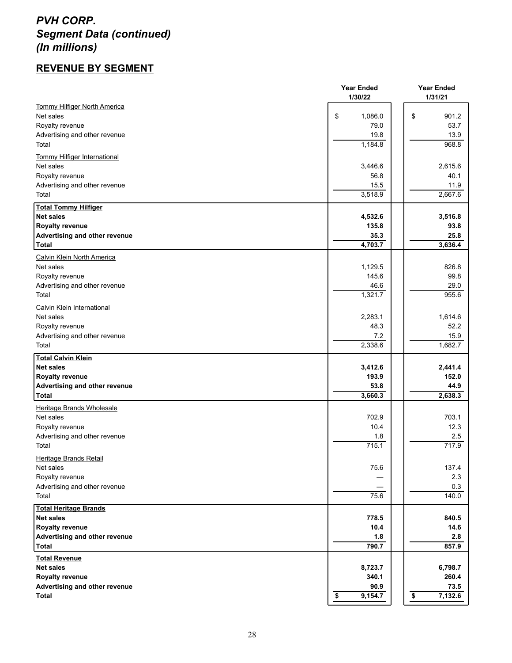#### *PVH CORP. Segment Data (continued) (In millions)*

#### **REVENUE BY SEGMENT**

|                                     | <b>Year Ended</b><br>1/30/22 | <b>Year Ended</b><br>1/31/21       |  |  |
|-------------------------------------|------------------------------|------------------------------------|--|--|
| <b>Tommy Hilfiger North America</b> |                              |                                    |  |  |
| Net sales                           | \$<br>1,086.0                | \$<br>901.2                        |  |  |
| Royalty revenue                     | 79.0                         | 53.7                               |  |  |
| Advertising and other revenue       | 19.8                         | 13.9                               |  |  |
| Total                               | 1,184.8                      | 968.8                              |  |  |
|                                     |                              |                                    |  |  |
| <b>Tommy Hilfiger International</b> |                              |                                    |  |  |
| Net sales                           | 3,446.6                      | 2,615.6                            |  |  |
| Royalty revenue                     | 56.8                         | 40.1                               |  |  |
| Advertising and other revenue       | 15.5                         | 11.9                               |  |  |
| Total                               | 3,518.9                      | 2,667.6                            |  |  |
| <b>Total Tommy Hilfiger</b>         |                              |                                    |  |  |
| <b>Net sales</b>                    | 4,532.6                      | 3,516.8                            |  |  |
| <b>Royalty revenue</b>              | 135.8                        | 93.8                               |  |  |
| Advertising and other revenue       | 35.3                         | 25.8                               |  |  |
| Total                               | 4,703.7                      | 3,636.4                            |  |  |
| <b>Calvin Klein North America</b>   |                              |                                    |  |  |
| Net sales                           | 1,129.5                      | 826.8                              |  |  |
| Royalty revenue                     | 145.6                        | 99.8                               |  |  |
| Advertising and other revenue       | 46.6                         | 29.0                               |  |  |
| Total                               | 1,321.7                      | 955.6                              |  |  |
| <b>Calvin Klein International</b>   |                              |                                    |  |  |
| Net sales                           | 2,283.1                      | 1,614.6                            |  |  |
| Royalty revenue                     | 48.3                         | 52.2                               |  |  |
| Advertising and other revenue       | 7.2                          | 15.9                               |  |  |
| Total                               | 2,338.6                      | 1,682.7                            |  |  |
|                                     |                              |                                    |  |  |
| <b>Total Calvin Klein</b>           |                              |                                    |  |  |
| Net sales                           | 3,412.6                      | 2,441.4                            |  |  |
| <b>Royalty revenue</b>              | 193.9                        | 152.0                              |  |  |
| Advertising and other revenue       | 53.8                         | 44.9                               |  |  |
| Total                               | 3,660.3                      | 2,638.3                            |  |  |
| Heritage Brands Wholesale           |                              |                                    |  |  |
| Net sales                           | 702.9                        | 703.1                              |  |  |
| Royalty revenue                     | 10.4                         | 12.3                               |  |  |
| Advertising and other revenue       | 1.8                          | 2.5                                |  |  |
| Total                               | 715.1                        | 717.9                              |  |  |
| Heritage Brands Retail              |                              |                                    |  |  |
| Net sales                           | 75.6                         | 137.4                              |  |  |
| Royalty revenue                     |                              | 2.3                                |  |  |
| Advertising and other revenue       |                              | 0.3                                |  |  |
| Total                               | 75.6                         | 140.0                              |  |  |
| <b>Total Heritage Brands</b>        |                              |                                    |  |  |
| Net sales                           | 778.5                        | 840.5                              |  |  |
| <b>Royalty revenue</b>              | 10.4                         | 14.6                               |  |  |
| Advertising and other revenue       | 1.8                          | 2.8                                |  |  |
| <b>Total</b>                        | 790.7                        | 857.9                              |  |  |
| <b>Total Revenue</b>                |                              |                                    |  |  |
| <b>Net sales</b>                    | 8,723.7                      | 6,798.7                            |  |  |
| <b>Royalty revenue</b>              | 340.1                        | 260.4                              |  |  |
| Advertising and other revenue       | 90.9                         | 73.5                               |  |  |
| <b>Total</b>                        | $\frac{1}{2}$<br>9,154.7     | $\overline{\mathbf{S}}$<br>7,132.6 |  |  |
|                                     |                              |                                    |  |  |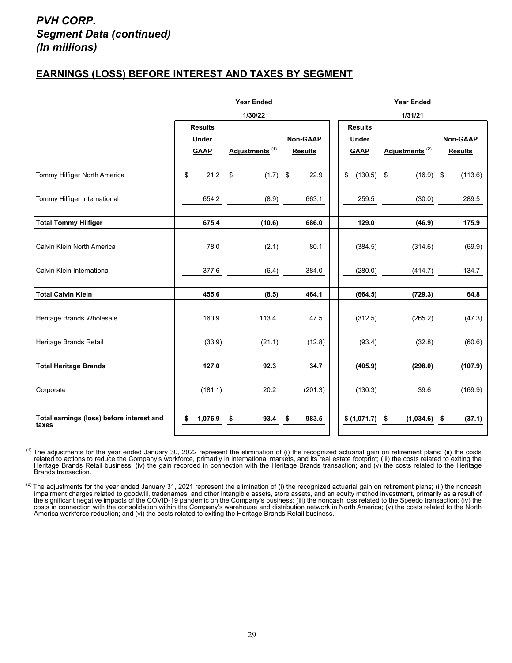#### *PVH CORP. Segment Data (continued) (In millions)*

#### **EARNINGS (LOSS) BEFORE INTEREST AND TAXES BY SEGMENT**

|                                                    | <b>Year Ended</b> |                            |                |    | <b>Year Ended</b> |                            |                 |  |  |  |
|----------------------------------------------------|-------------------|----------------------------|----------------|----|-------------------|----------------------------|-----------------|--|--|--|
|                                                    |                   | 1/30/22                    |                |    |                   | 1/31/21                    |                 |  |  |  |
|                                                    | <b>Results</b>    |                            |                |    |                   |                            |                 |  |  |  |
|                                                    | <b>Under</b>      |                            | Non-GAAP       |    | <b>Under</b>      |                            | <b>Non-GAAP</b> |  |  |  |
|                                                    | <b>GAAP</b>       | Adjustments <sup>(1)</sup> | <b>Results</b> |    | <b>GAAP</b>       | Adjustments <sup>(2)</sup> | <b>Results</b>  |  |  |  |
|                                                    |                   |                            |                |    |                   |                            |                 |  |  |  |
| Tommy Hilfiger North America                       | 21.2<br>\$        | \$<br>$(1.7)$ \$           | 22.9           | \$ | $(130.5)$ \$      | $(16.9)$ \$                | (113.6)         |  |  |  |
| Tommy Hilfiger International                       | 654.2             | (8.9)                      | 663.1          |    | 259.5             | (30.0)                     | 289.5           |  |  |  |
|                                                    |                   |                            |                |    |                   |                            |                 |  |  |  |
| Total Tommy Hilfiger                               | 675.4             | (10.6)                     | 686.0          |    | 129.0             | (46.9)                     | 175.9           |  |  |  |
|                                                    |                   |                            |                |    |                   |                            |                 |  |  |  |
| Calvin Klein North America                         | 78.0              | (2.1)                      | 80.1           |    | (384.5)           | (314.6)                    | (69.9)          |  |  |  |
|                                                    |                   |                            |                |    |                   |                            |                 |  |  |  |
| Calvin Klein International                         | 377.6             | (6.4)                      | 384.0          |    | (280.0)           | (414.7)                    | 134.7           |  |  |  |
|                                                    |                   |                            |                |    |                   |                            |                 |  |  |  |
| <b>Total Calvin Klein</b>                          | 455.6             | (8.5)                      | 464.1          |    | (664.5)           | (729.3)                    | 64.8            |  |  |  |
|                                                    |                   |                            |                |    |                   |                            |                 |  |  |  |
| Heritage Brands Wholesale                          | 160.9             | 113.4                      | 47.5           |    | (312.5)           | (265.2)                    | (47.3)          |  |  |  |
|                                                    |                   |                            |                |    |                   |                            |                 |  |  |  |
| Heritage Brands Retail                             | (33.9)            | (21.1)                     | (12.8)         |    | (93.4)            | (32.8)                     | (60.6)          |  |  |  |
|                                                    |                   |                            |                |    |                   |                            |                 |  |  |  |
| <b>Total Heritage Brands</b>                       | 127.0             | 92.3                       | 34.7           |    | (405.9)           | (298.0)                    | (107.9)         |  |  |  |
|                                                    |                   |                            |                |    |                   |                            |                 |  |  |  |
| Corporate                                          | (181.1)           | 20.2                       | (201.3)        |    | (130.3)           | 39.6                       | (169.9)         |  |  |  |
|                                                    |                   |                            |                |    |                   |                            |                 |  |  |  |
| Total earnings (loss) before interest and<br>taxes | 1,076.9<br>\$     | 93.4<br>\$                 | 983.5          |    | \$ (1,071.7)      | (1,034.6)<br>- \$          | (37.1)<br>- 5   |  |  |  |

<sup>(1)</sup> The adjustments for the year ended January 30, 2022 represent the elimination of (i) the recognized actuarial gain on retirement plans; (ii) the costs related to actions to reduce the Company's workforce, primarily in international markets, and its real estate footprint; (iii) the costs related to exiting the Heritage Brands Retail business; (iv) the gain recorded in connection with the Heritage Brands transaction; and (v) the costs related to the Heritage Brands transaction.

<sup>(2)</sup> The adjustments for the year ended January 31, 2021 represent the elimination of (i) the recognized actuarial gain on retirement plans; (ii) the noncash impairment charges related to goodwill, tradenames, and other intangible assets, store assets, and an equity method investment, primarily as a result of the significant negative impacts of the COVID-19 pandemic on the Company's business; (iii) the noncash loss related to the Speedo transaction; (iv) the costs in connection with the consolidation within the Company's warehouse and distribution network in North America; (v) the costs related to the North America workforce reduction; and (vi) the costs related to exiting the Heritage Brands Retail business.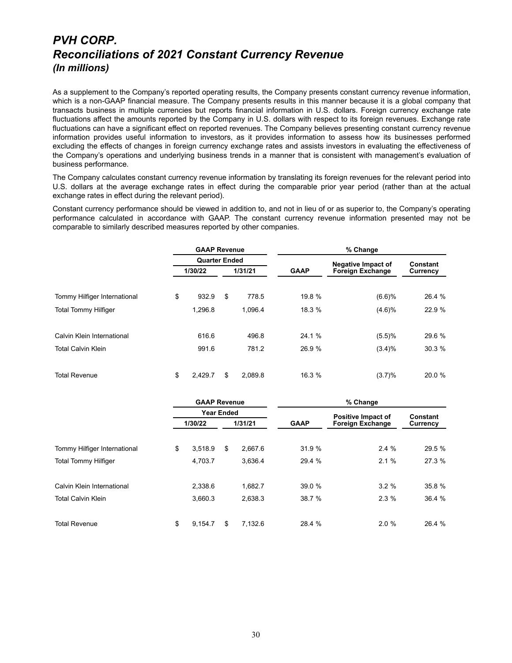#### *PVH CORP. Reconciliations of 2021 Constant Currency Revenue (In millions)*

As a supplement to the Company's reported operating results, the Company presents constant currency revenue information, which is a non-GAAP financial measure. The Company presents results in this manner because it is a global company that transacts business in multiple currencies but reports financial information in U.S. dollars. Foreign currency exchange rate fluctuations affect the amounts reported by the Company in U.S. dollars with respect to its foreign revenues. Exchange rate fluctuations can have a significant effect on reported revenues. The Company believes presenting constant currency revenue information provides useful information to investors, as it provides information to assess how its businesses performed excluding the effects of changes in foreign currency exchange rates and assists investors in evaluating the effectiveness of the Company's operations and underlying business trends in a manner that is consistent with management's evaluation of business performance.

The Company calculates constant currency revenue information by translating its foreign revenues for the relevant period into U.S. dollars at the average exchange rates in effect during the comparable prior year period (rather than at the actual exchange rates in effect during the relevant period).

Constant currency performance should be viewed in addition to, and not in lieu of or as superior to, the Company's operating performance calculated in accordance with GAAP. The constant currency revenue information presented may not be comparable to similarly described measures reported by other companies.

|                              | <b>GAAP Revenue</b>  |         |         | % Change    |                           |          |  |  |  |  |
|------------------------------|----------------------|---------|---------|-------------|---------------------------|----------|--|--|--|--|
|                              | <b>Quarter Ended</b> |         |         |             | <b>Negative Impact of</b> | Constant |  |  |  |  |
|                              | 1/30/22              | 1/31/21 |         | <b>GAAP</b> | <b>Foreign Exchange</b>   | Currency |  |  |  |  |
| Tommy Hilfiger International | \$<br>932.9          | \$      | 778.5   | 19.8 %      | (6.6)%                    | 26.4 %   |  |  |  |  |
| <b>Total Tommy Hilfiger</b>  | 1,296.8              |         | 1,096.4 | 18.3 %      | (4.6)%                    | 22.9 %   |  |  |  |  |
| Calvin Klein International   | 616.6                |         | 496.8   | 24.1 %      | (5.5)%                    | 29.6 %   |  |  |  |  |
| <b>Total Calvin Klein</b>    | 991.6                |         | 781.2   | 26.9 %      | $(3.4)\%$                 | 30.3%    |  |  |  |  |
| <b>Total Revenue</b>         | \$<br>2.429.7        | \$      | 2.089.8 | 16.3 %      | (3.7)%                    | 20.0 %   |  |  |  |  |

|                              | <b>GAAP Revenue</b> |                   |         | % Change    |                           |                 |  |  |  |  |
|------------------------------|---------------------|-------------------|---------|-------------|---------------------------|-----------------|--|--|--|--|
|                              |                     | <b>Year Ended</b> |         |             | <b>Positive Impact of</b> | <b>Constant</b> |  |  |  |  |
|                              | 1/30/22             | 1/31/21           |         | <b>GAAP</b> | <b>Foreign Exchange</b>   | Currency        |  |  |  |  |
| Tommy Hilfiger International | \$<br>3,518.9       | \$                | 2,667.6 | 31.9 %      | 2.4%                      | 29.5 %          |  |  |  |  |
| <b>Total Tommy Hilfiger</b>  | 4,703.7             |                   | 3,636.4 | 29.4 %      | 2.1%                      | 27.3 %          |  |  |  |  |
| Calvin Klein International   | 2,338.6             |                   | 1.682.7 | 39.0%       | 3.2%                      | 35.8 %          |  |  |  |  |
| <b>Total Calvin Klein</b>    | 3,660.3             |                   | 2,638.3 | 38.7 %      | 2.3%                      | 36.4 %          |  |  |  |  |
| <b>Total Revenue</b>         | \$<br>9.154.7       | S                 | 7.132.6 | 28.4 %      | 2.0%                      | 26.4 %          |  |  |  |  |